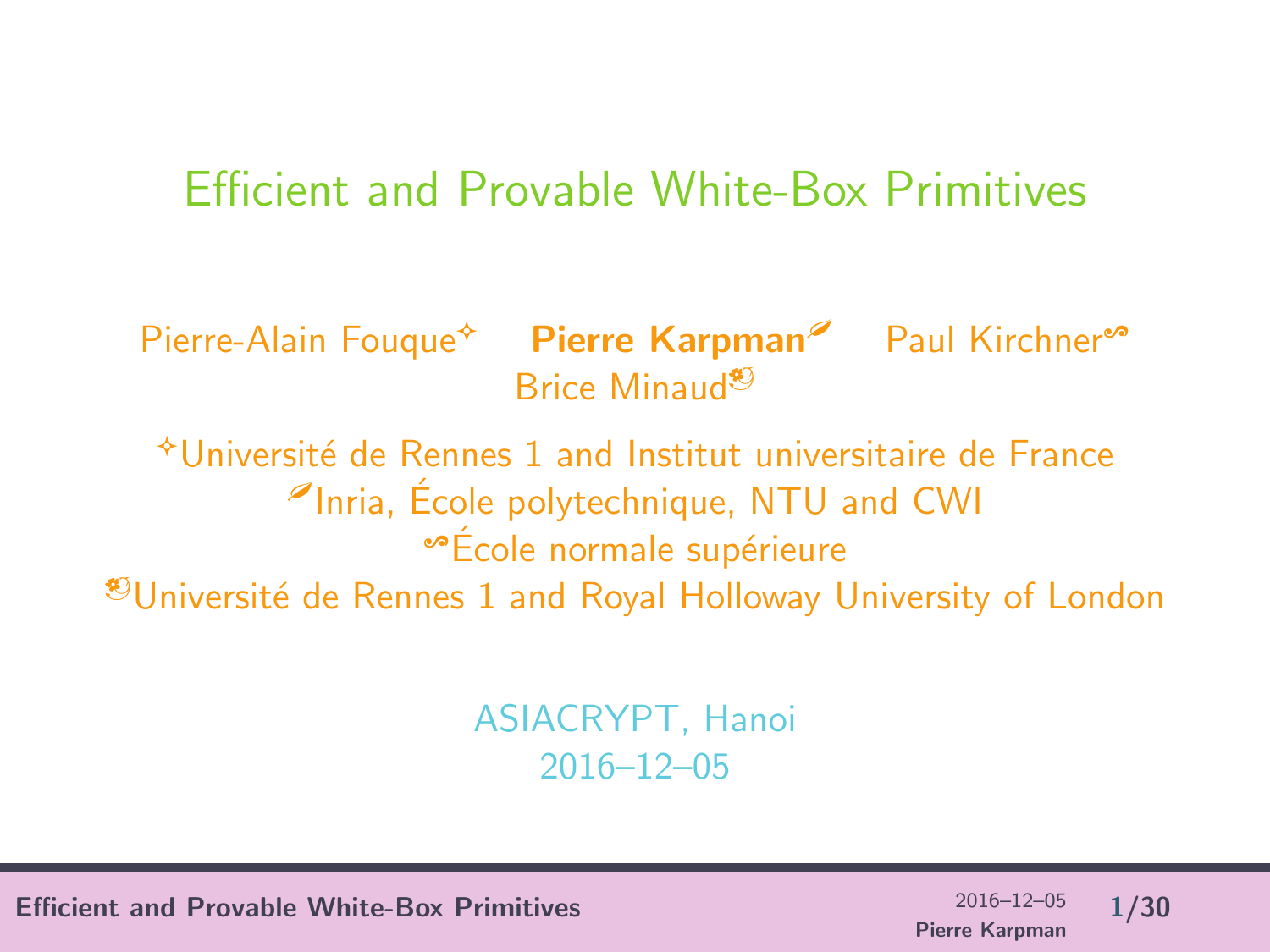#### Efficient and Provable White-Box Primitives

Pierre-Alain Fouque<sup>\*</sup> Pierre Karpman<sup>®</sup> Paul Kirchner<sup>®</sup> Brice Minaud<sup>b</sup>

 $*$ Université de Rennes 1 and Institut universitaire de France  $\ell$ Inria, École polytechnique, NTU and CWI  $\bullet$ École normale supérieure  $\mathcal{O}$ Université de Rennes 1 and Royal Holloway University of London

> ASIACRYPT, Hanoi 2016–12–05

Efficient and Provable White-Box Primitives 2016–12–05 1/30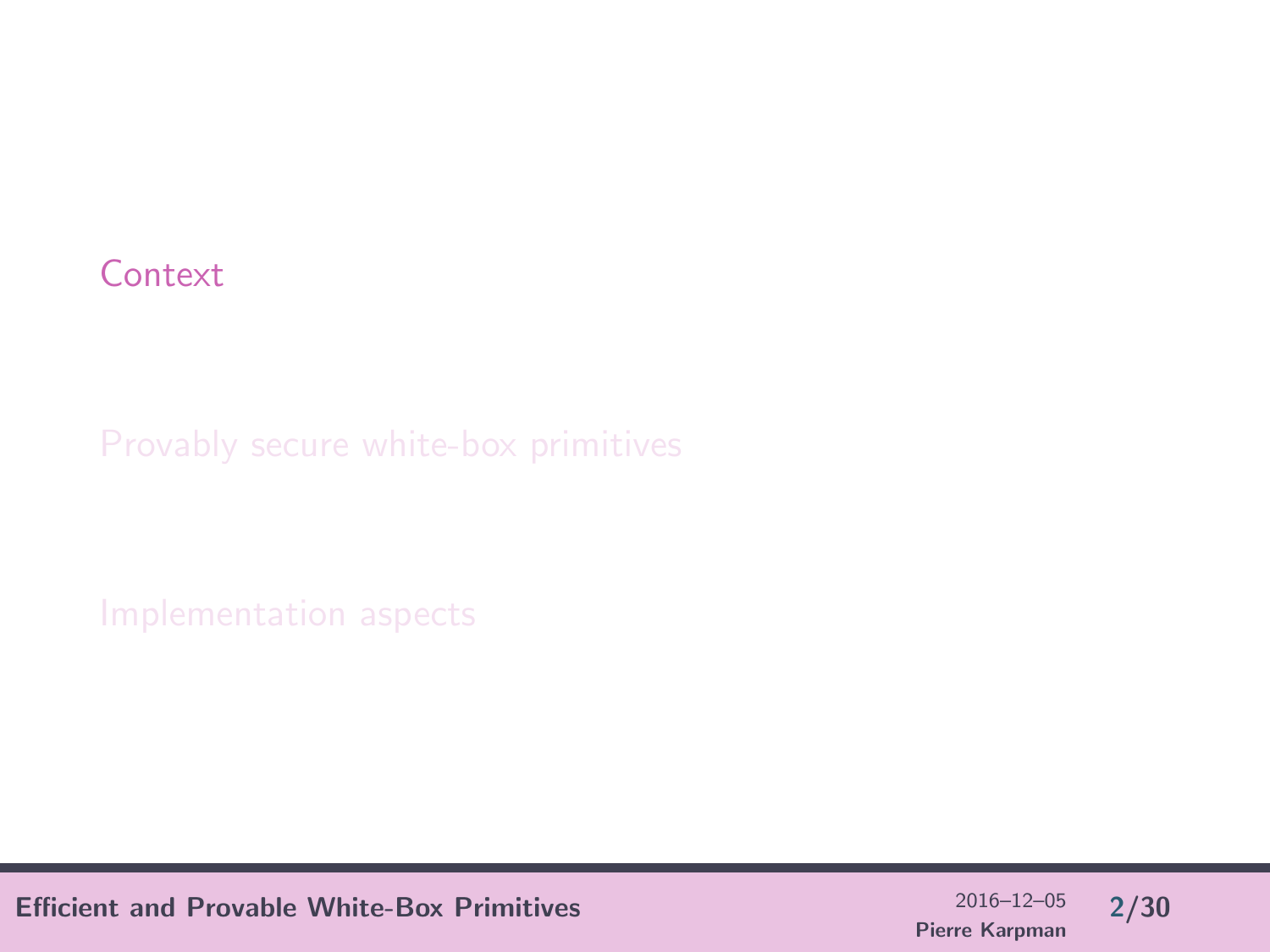#### <span id="page-1-0"></span>**[Context](#page-1-0)**

Efficient and Provable White-Box Primitives  $^{2016-12-05}$  2/30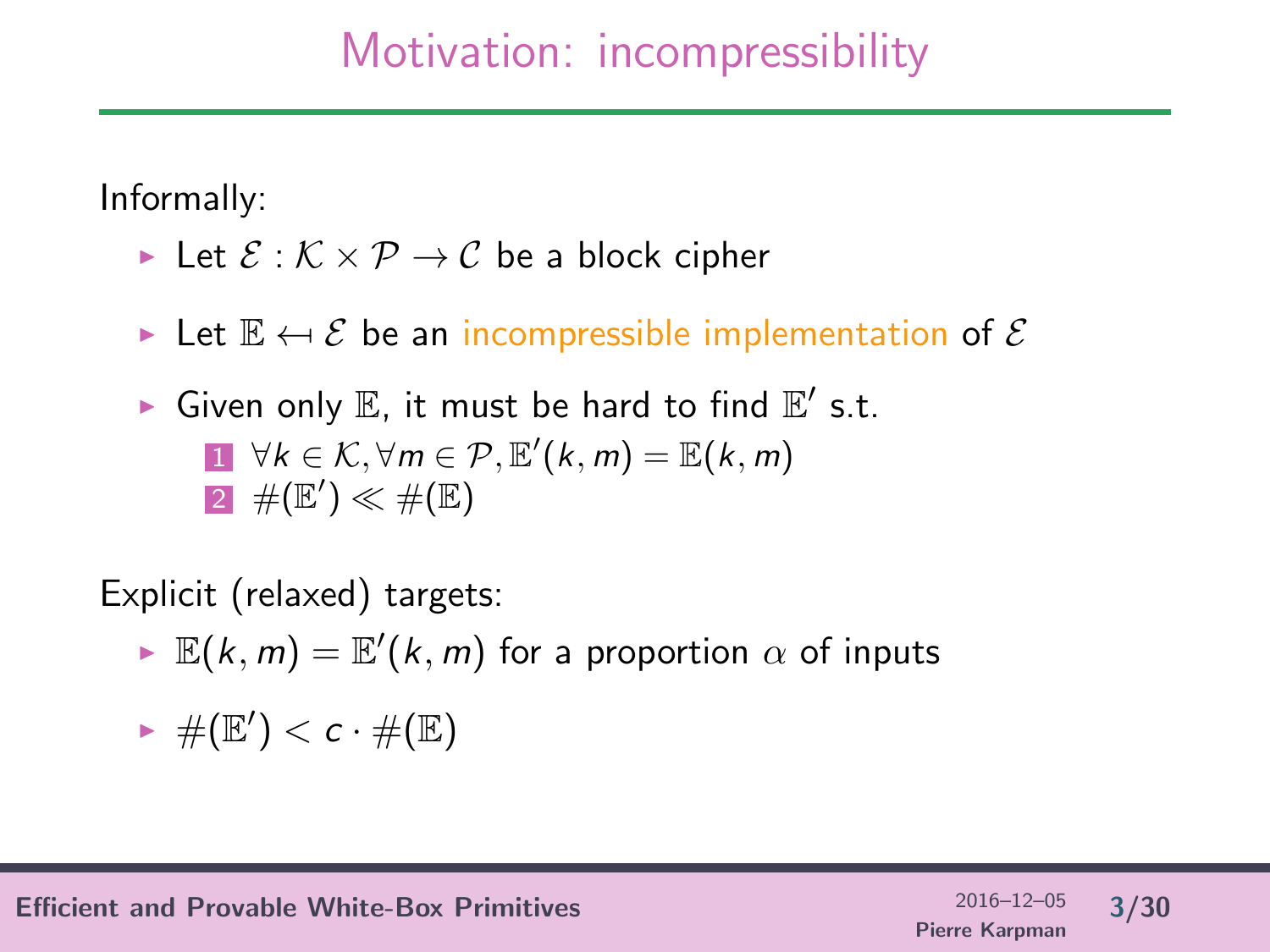## Motivation: incompressibility

Informally:

- In Let  $\mathcal{E}: \mathcal{K} \times \mathcal{P} \to \mathcal{C}$  be a block cipher
- $\triangleright$  Let  $\mathbb{E} \leftarrow \mathcal{E}$  be an incompressible implementation of  $\mathcal{E}$
- $\blacktriangleright$  Given only  $\mathbb E$ , it must be hard to find  $\mathbb E'$  s.t.  $1 \forall k \in \mathcal{K}, \forall m \in \mathcal{P}, \mathbb{E}'(k,m) = \mathbb{E}(k,m)$  $\mathsf{2}^{\!-1}\#(\mathbb{E}')\ll\#(\mathbb{E})$

Explicit (relaxed) targets:

 $\blacktriangleright \ \mathbb{E}(k,m) = \mathbb{E}'(k,m)$  for a proportion  $\alpha$  of inputs

$$
\blacktriangleright \#(\mathbb{E}') < c \cdot \#(\mathbb{E})
$$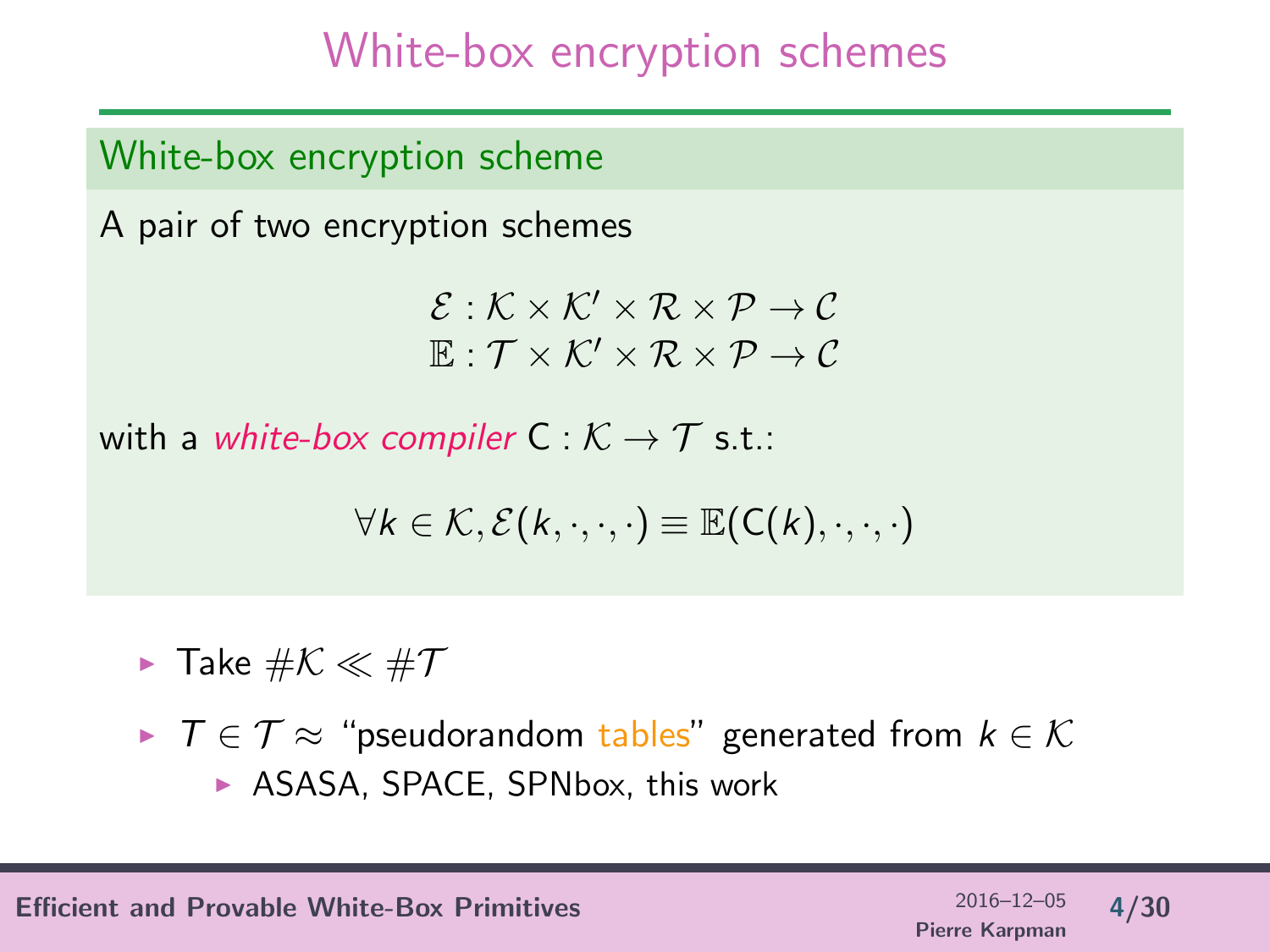# White-box encryption schemes

White-box encryption scheme

A pair of two encryption schemes

 $\mathcal{E}: \mathcal{K} \times \mathcal{K}' \times \mathcal{R} \times \mathcal{P} \rightarrow \mathcal{C}$  $\mathbb{E}: \mathcal{T} \times \mathcal{K}' \times \mathcal{R} \times \mathcal{P} \rightarrow \mathcal{C}$ 

with a white-box compiler  $C : \mathcal{K} \to \mathcal{T}$  s.t.:

$$
\forall k \in \mathcal{K}, \mathcal{E}(k, \cdot, \cdot, \cdot) \equiv \mathbb{E}(C(k), \cdot, \cdot, \cdot)
$$

 $\blacktriangleright$  Take  $\#\mathcal{K} \ll \#\mathcal{T}$ 

 $\triangleright$   $\top \in \mathcal{T} \approx$  "pseudorandom tables" generated from  $k \in \mathcal{K}$  $\triangleright$  ASASA, SPACE, SPNbox, this work

Efficient and Provable White-Box Primitives 2016–12–05  $\frac{2016-12-05}{4/30}$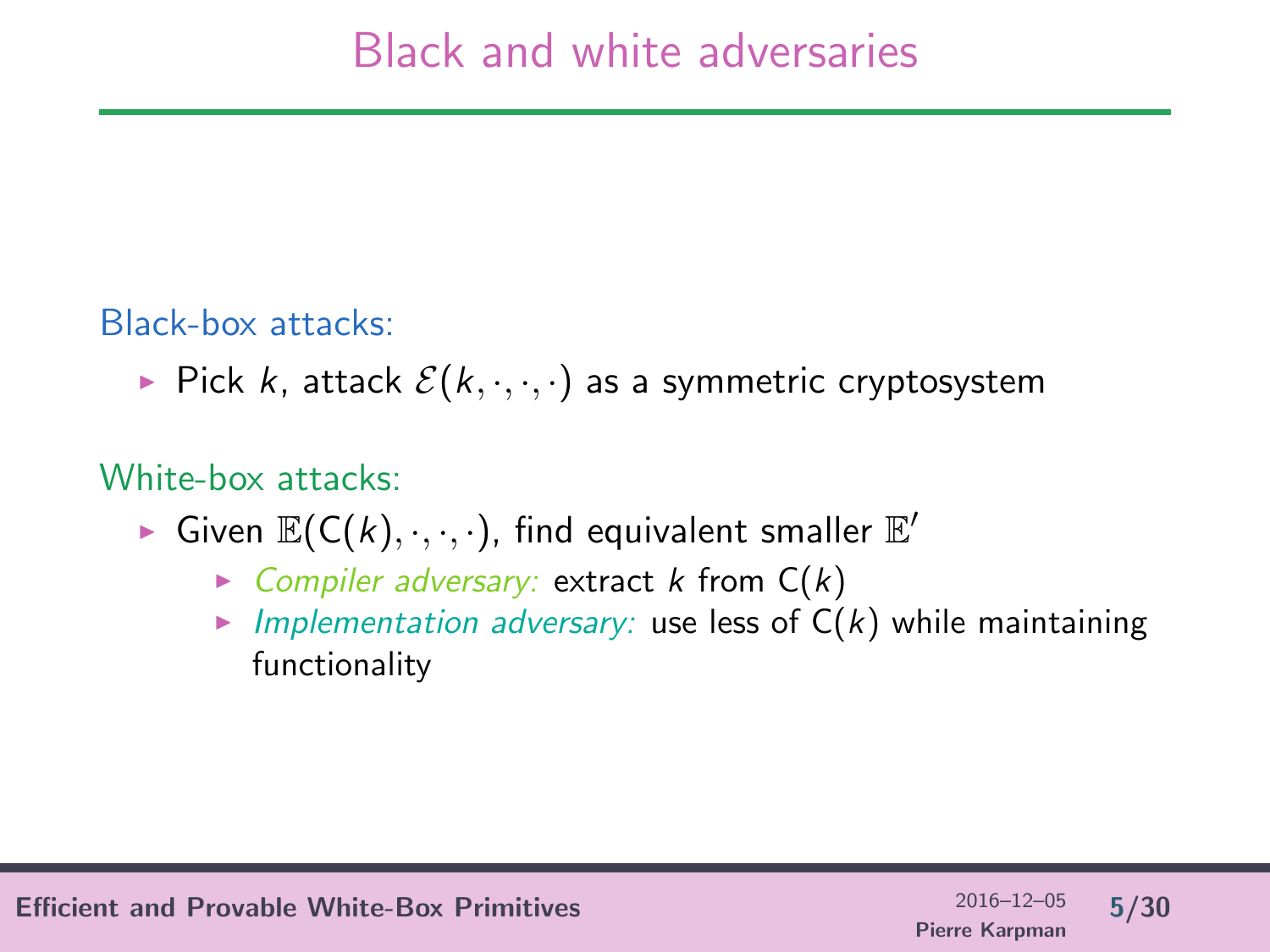#### Black-box attacks:

Pick k, attack  $\mathcal{E}(k, \cdot, \cdot, \cdot)$  as a symmetric cryptosystem

#### White-box attacks:

- Given  $\mathbb{E}(C(k), \cdot, \cdot, \cdot)$ , find equivalent smaller  $\mathbb{E}'$ 
	- $\triangleright$  Compiler adversary: extract k from  $C(k)$
	- Implementation adversary: use less of  $C(k)$  while maintaining functionality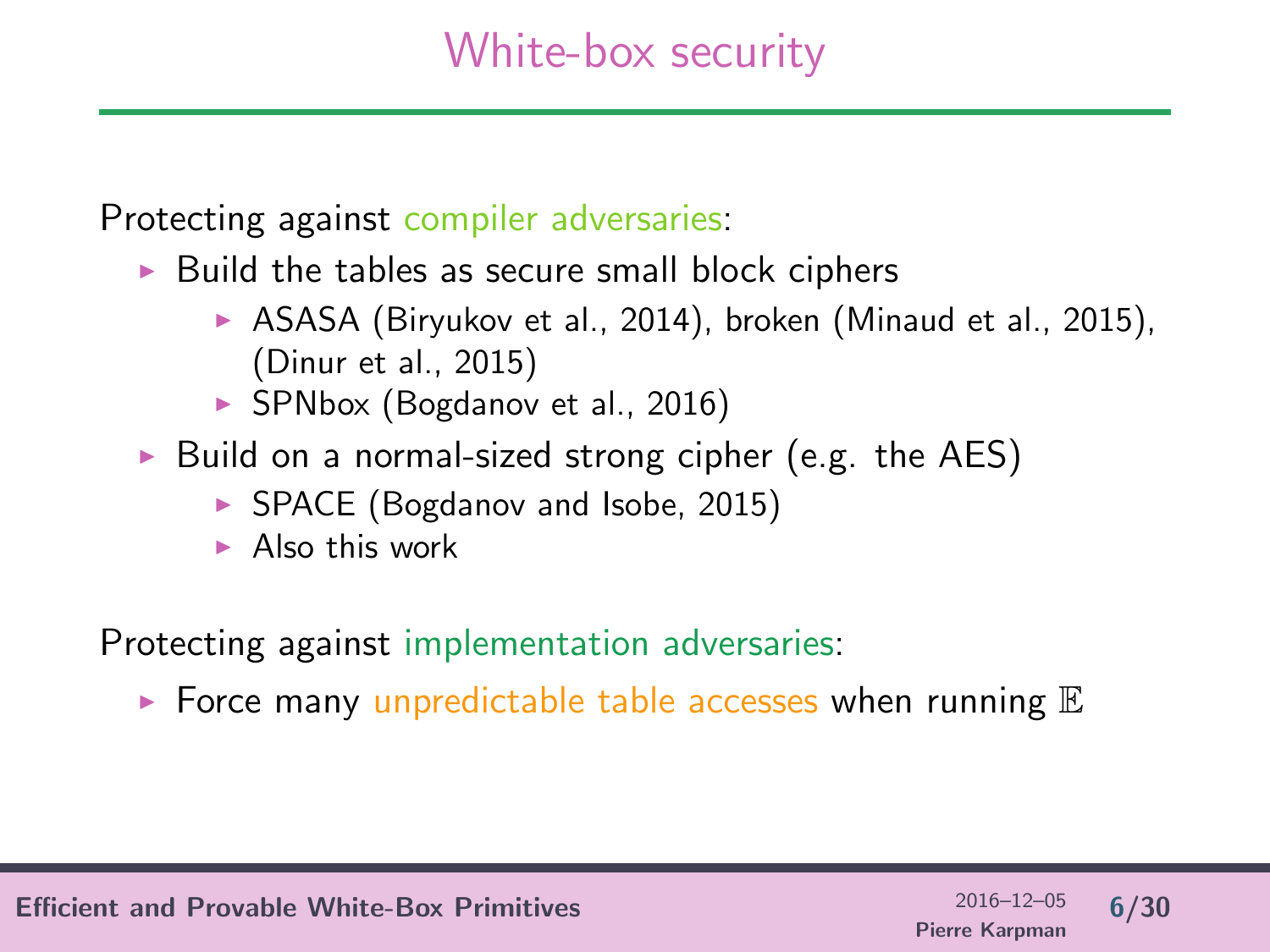## White-box security

Protecting against compiler adversaries:

- $\triangleright$  Build the tables as secure small block ciphers
	- $\triangleright$  ASASA (Biryukov et al., 2014), broken (Minaud et al., 2015), (Dinur et al., 2015)
	- $\triangleright$  SPNbox (Bogdanov et al., 2016)
- $\triangleright$  Build on a normal-sized strong cipher (e.g. the AES)
	- ▶ SPACE (Bogdanov and Isobe, 2015)
	- $\blacktriangleright$  Also this work

Protecting against implementation adversaries:

 $\blacktriangleright$  Force many unpredictable table accesses when running  $\mathbb E$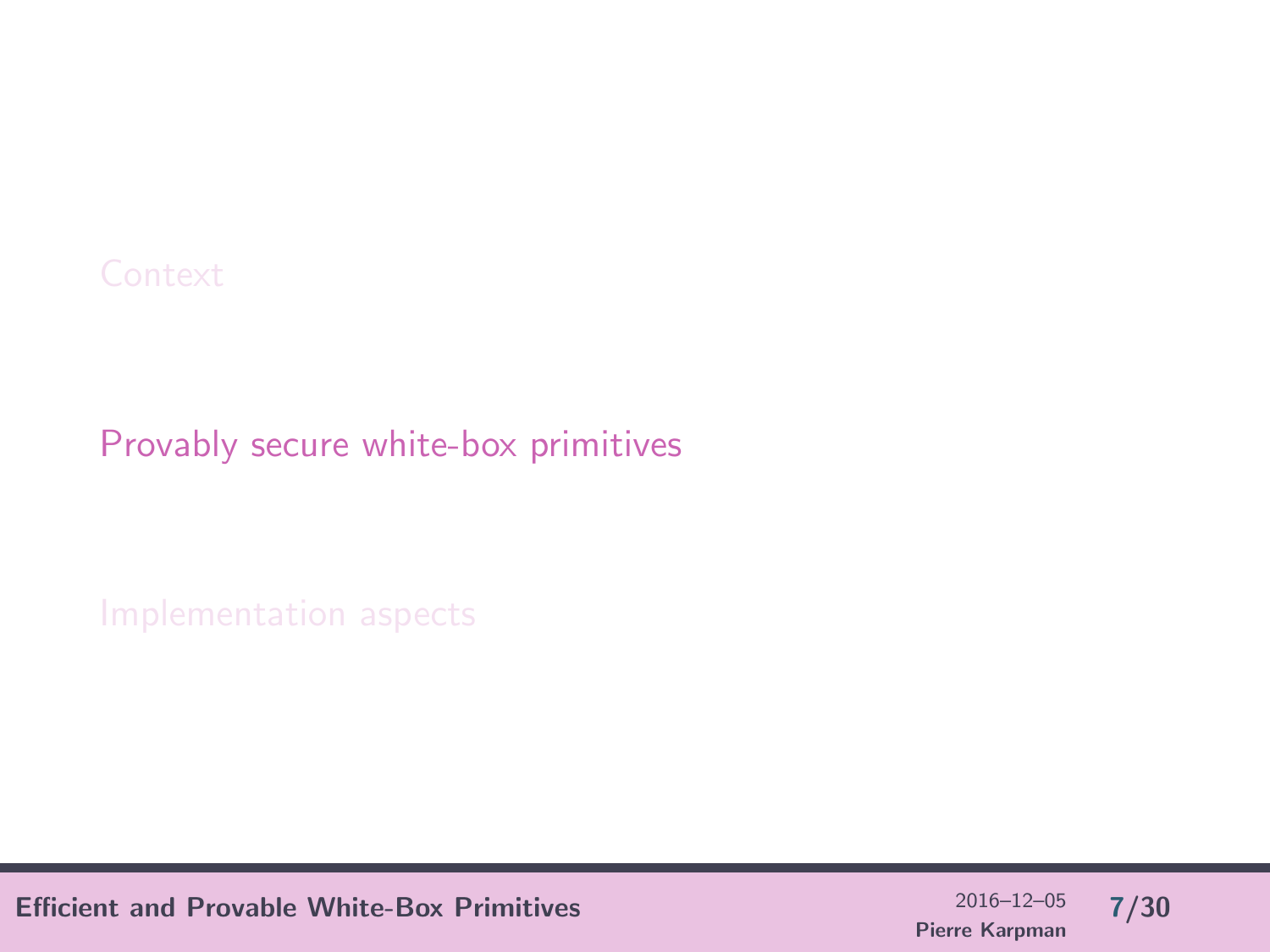<span id="page-6-0"></span>[Provably secure white-box primitives](#page-6-0)

Efficient and Provable White-Box Primitives  $^{2016-12-05}$  7/30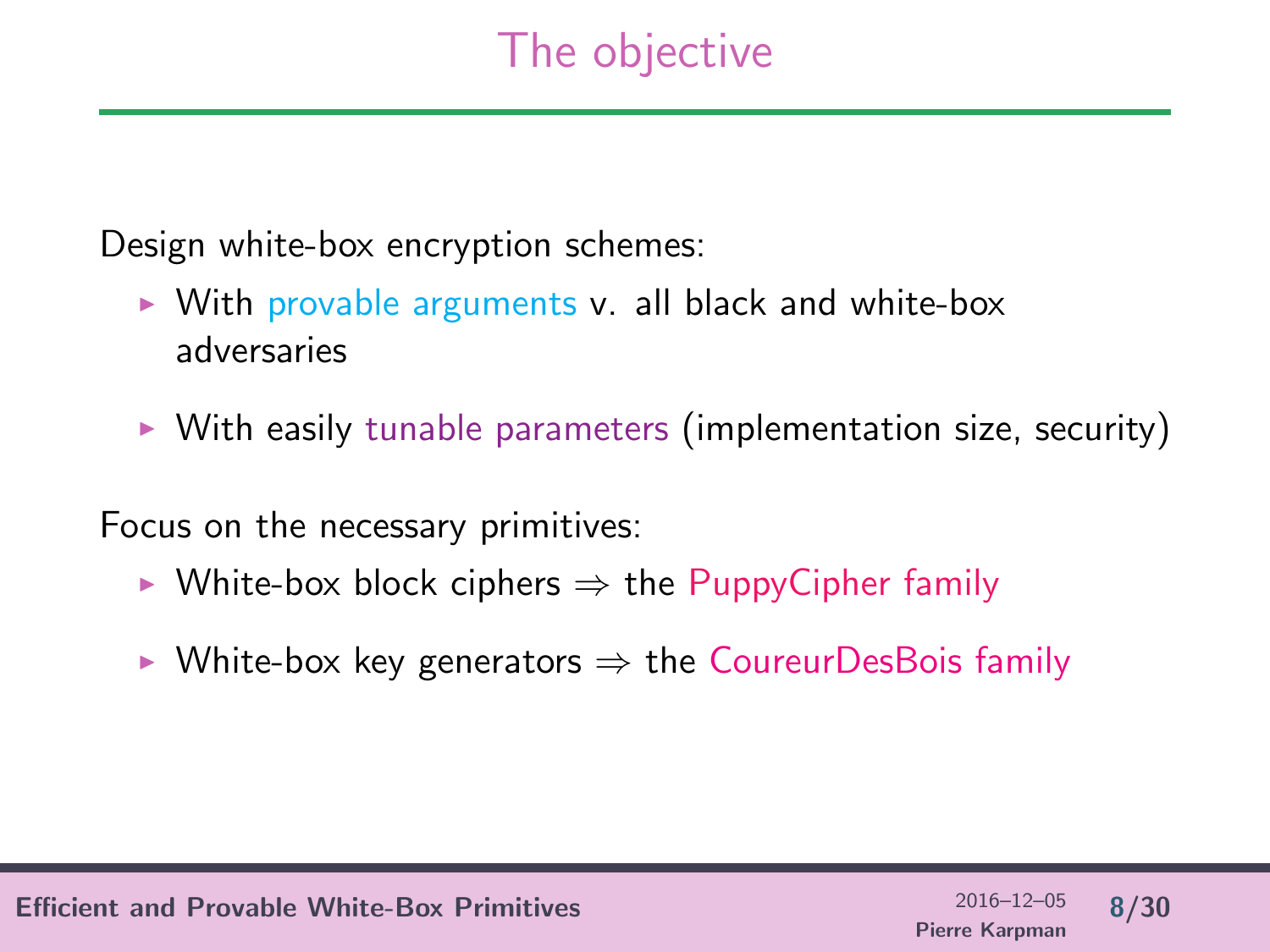# The objective

Design white-box encryption schemes:

- $\triangleright$  With provable arguments v. all black and white-box adversaries
- $\triangleright$  With easily tunable parameters (implementation size, security)

Focus on the necessary primitives:

- $\triangleright$  White-box block ciphers  $\Rightarrow$  the PuppyCipher family
- $\triangleright$  White-box key generators  $\Rightarrow$  the CoureurDesBois family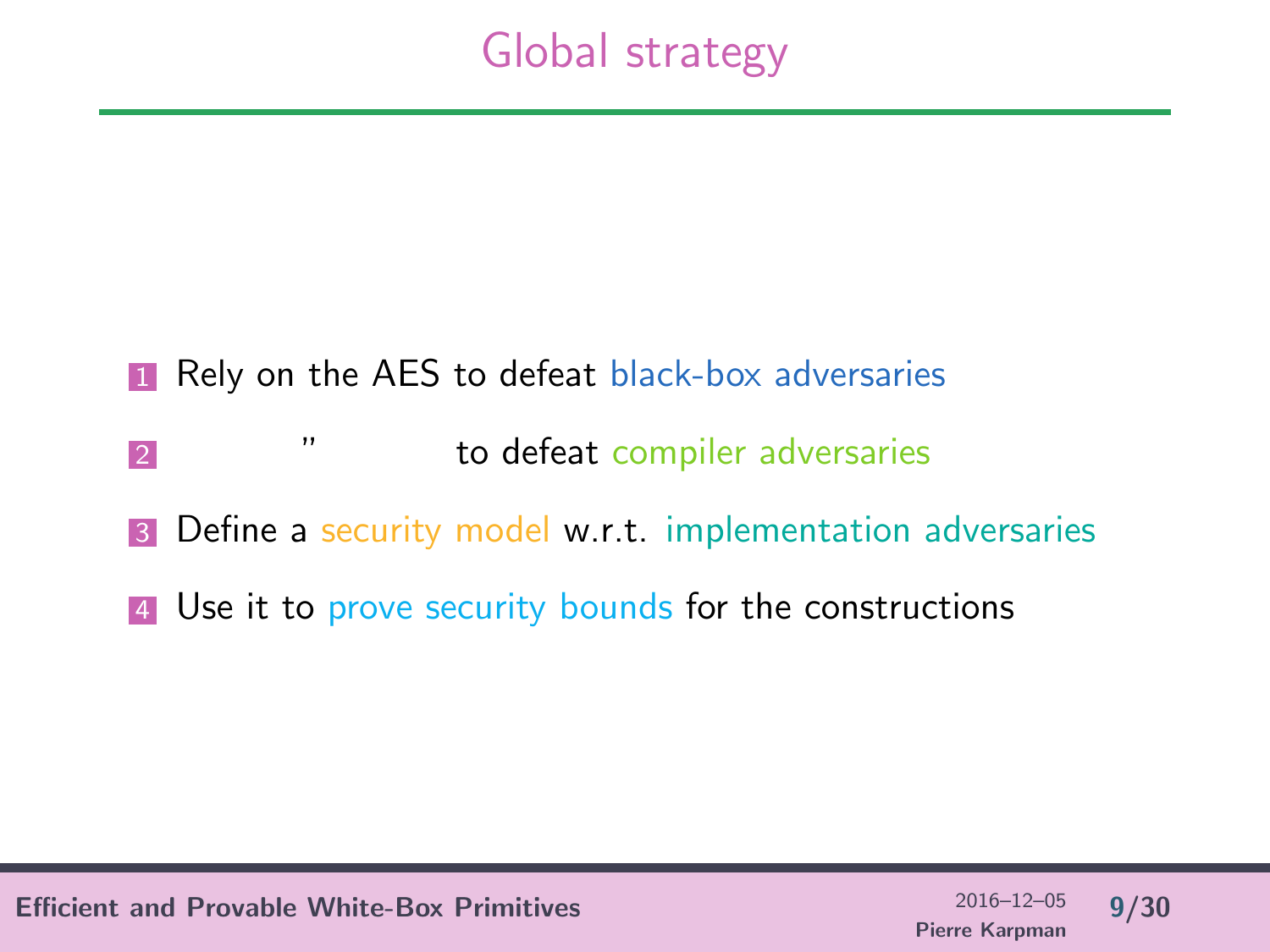# Global strategy

#### **1** Rely on the AES to defeat black-box adversaries

- **2** *m* **b defeat compiler adversaries**
- **3** Define a security model w.r.t. implementation adversaries
- 4 Use it to prove security bounds for the constructions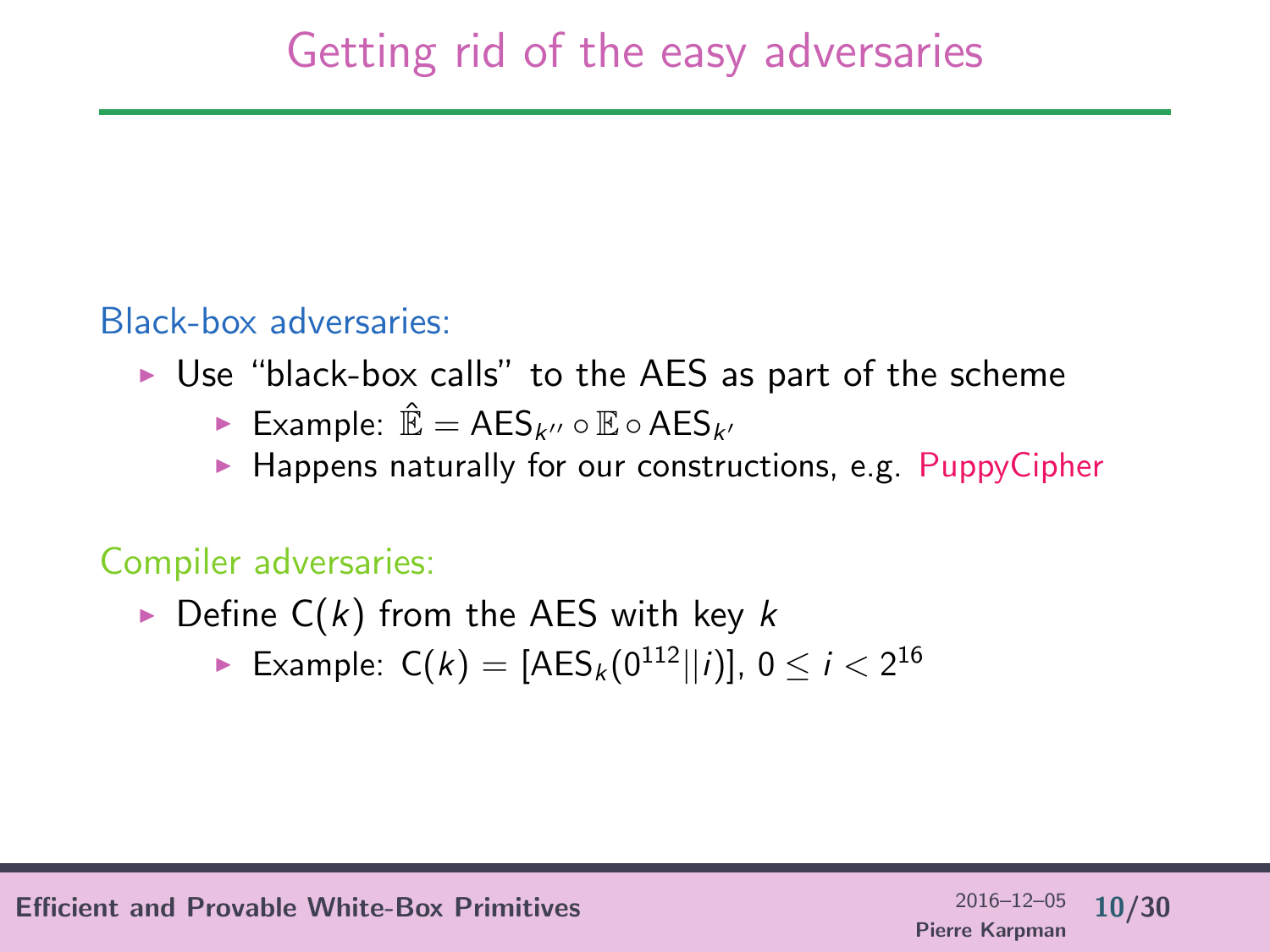#### Black-box adversaries:

- $\triangleright$  Use "black-box calls" to the AES as part of the scheme
	- ► Example:  $\mathbb{\hat{E}} = \mathsf{AES}_{k''} \circ \mathbb{E} \circ \mathsf{AES}_{k''}$
	- $\blacktriangleright$  Happens naturally for our constructions, e.g. PuppyCipher

#### Compiler adversaries:

- $\triangleright$  Define C(k) from the AES with key k
	- ► Example:  $C(k) = [AES_k(0^{112}||i)], 0 \le i < 2^{16}$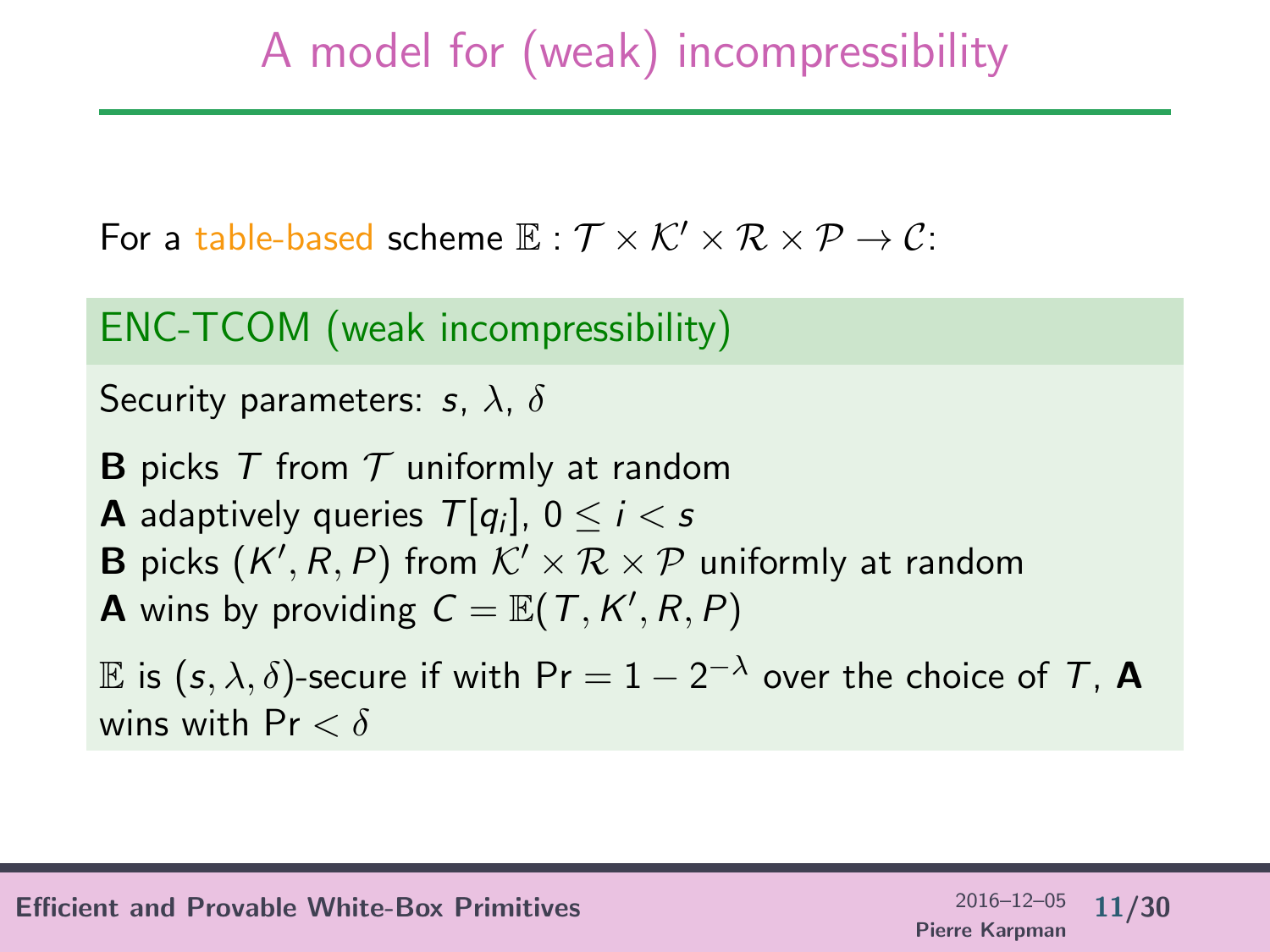# A model for (weak) incompressibility

For a table-based scheme  $\mathbb{E}: \mathcal{T} \times \mathcal{K}' \times \mathcal{R} \times \mathcal{P} \rightarrow \mathcal{C}$ :

ENC-TCOM (weak incompressibility)

```
Security parameters: s, \lambda, \delta
```
**B** picks T from  $T$  uniformly at random **A** adaptively queries  $\mathcal{T}[q_i]$ ,  $0 \leq i < s$ **B** picks  $(K', R, P)$  from  $K' \times R \times P$  uniformly at random **A** wins by providing  $C = \mathbb{E}(T, K', R, P)$ 

 $\mathbb E$  is  $(s, \lambda, \delta)$ -secure if with  $\mathsf{Pr} = 1 - 2^{-\lambda}$  over the choice of  $\mathcal T$ , **A** wins with  $Pr < \delta$ 

Efficient and Provable White-Box Primitives 2016–12–05 11/30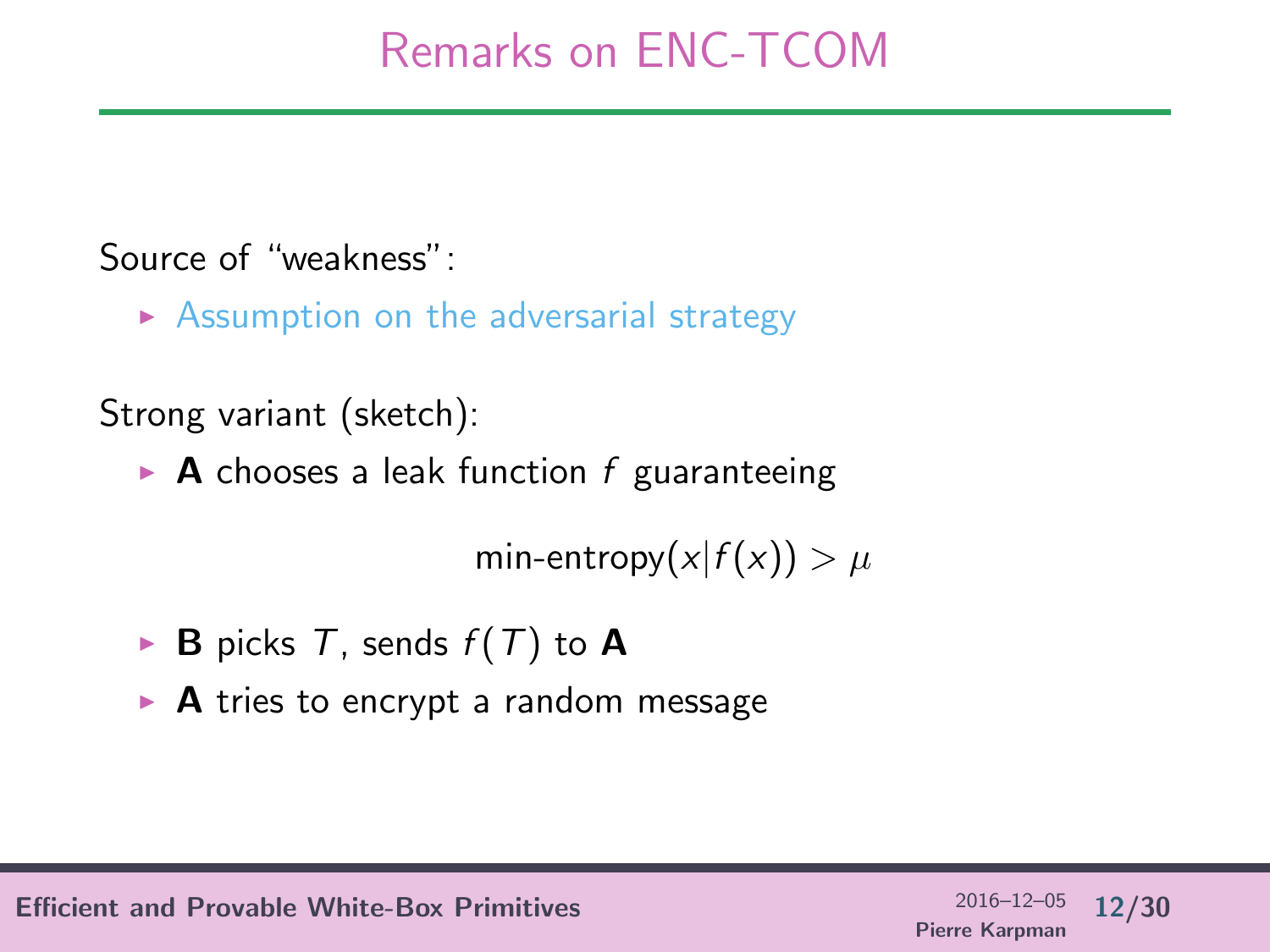# Remarks on ENC-TCOM

#### Source of "weakness":

 $\triangleright$  Assumption on the adversarial strategy

Strong variant (sketch):

 $\triangleright$  **A** chooses a leak function f guaranteeing

min-entropy $(x|f(x)) > \mu$ 

- $\triangleright$  **B** picks T, sends  $f(T)$  to **A**
- $\triangleright$  **A** tries to encrypt a random message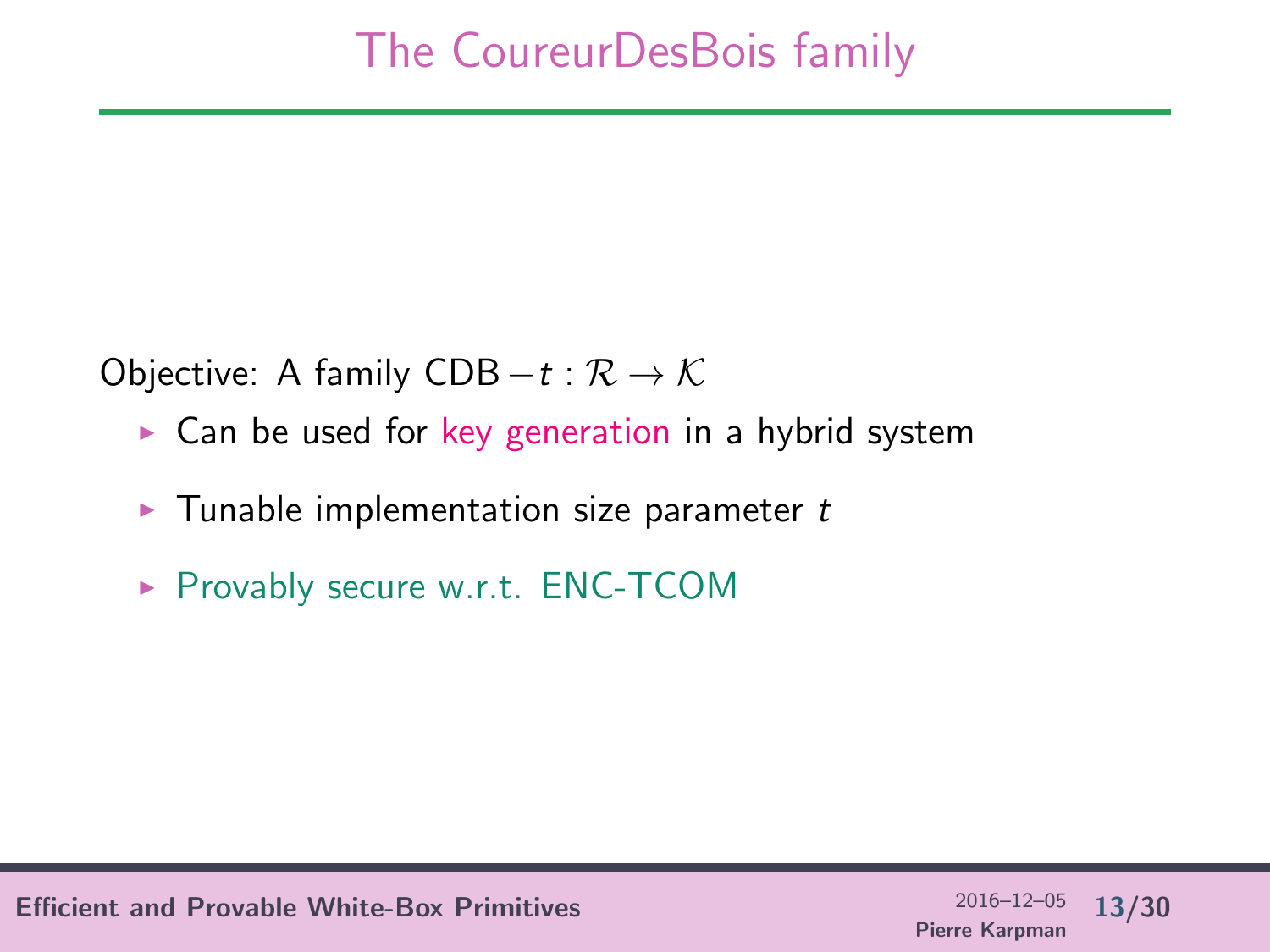Objective: A family CDB  $-t : \mathcal{R} \to \mathcal{K}$ 

- $\triangleright$  Can be used for key generation in a hybrid system
- $\blacktriangleright$  Tunable implementation size parameter t
- ▶ Provably secure w.r.t. ENC-TCOM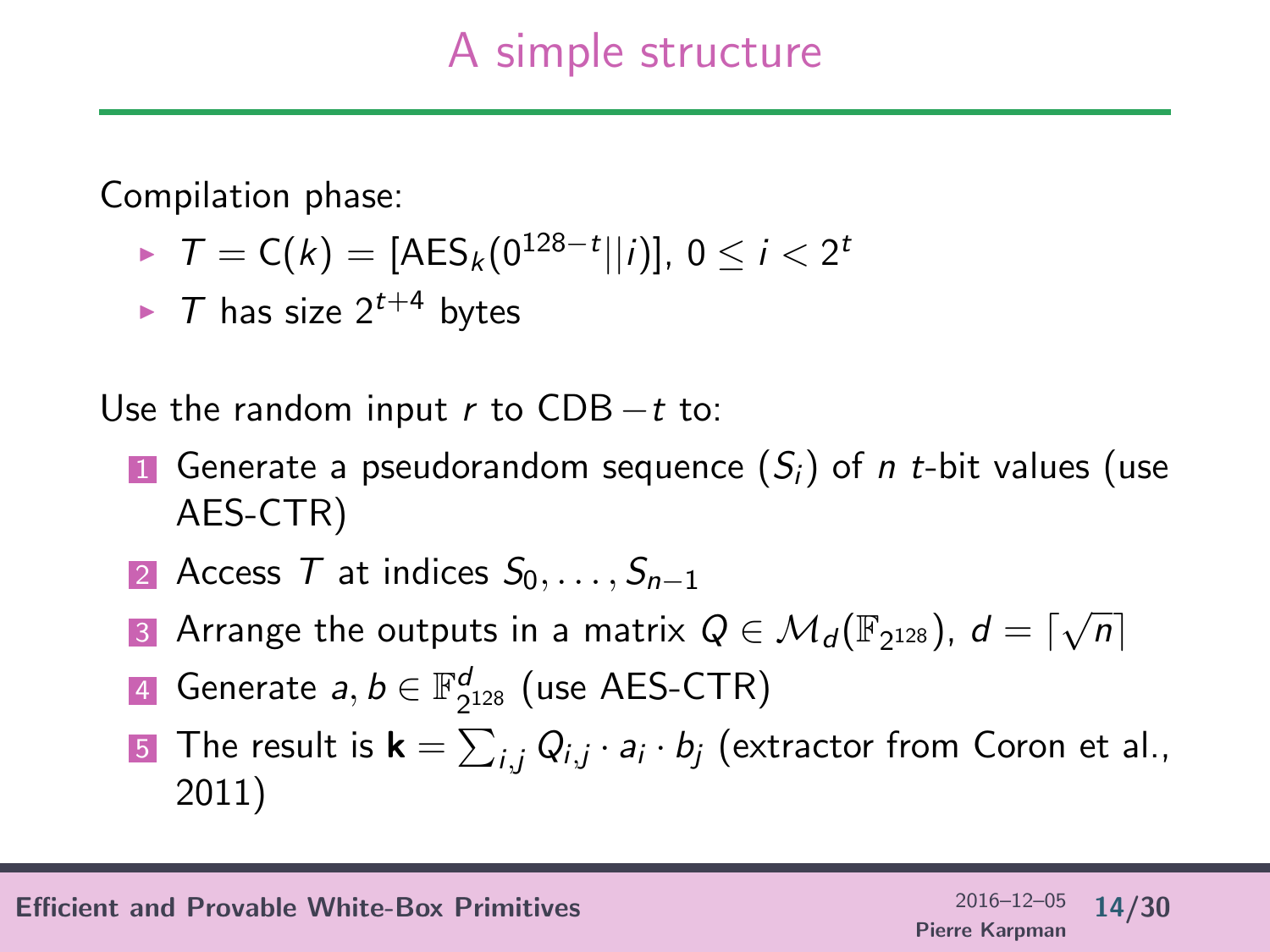## A simple structure

Compilation phase:

- ►  $T = C(k) = [AES_k(0^{128-t}||i)], 0 \le i < 2^t$
- $\triangleright$  T has size  $2^{t+4}$  bytes

Use the random input r to  $CDB - t$  to:

- **1** Generate a pseudorandom sequence  $(S_i)$  of *n t*-bit values (use AES-CTR)
- 2 Access T at indices  $S_0, \ldots, S_{n-1}$
- 3 Arrange the outputs in a matrix  $Q \in \mathcal{M}_d(\mathbb{F}_{2^{128}})$ ,  $d = \lceil \sqrt{n} \rceil$
- 4 Generate  $a,b \in \mathbb{F}_{2^{128}}^d$  (use AES-CTR)
- **5** The result is  $\mathbf{k} = \sum_{i,j} Q_{i,j} \cdot a_i \cdot b_j$  (extractor from Coron et al., 2011)

Efficient and Provable White-Box Primitives 2016–12–05 14/30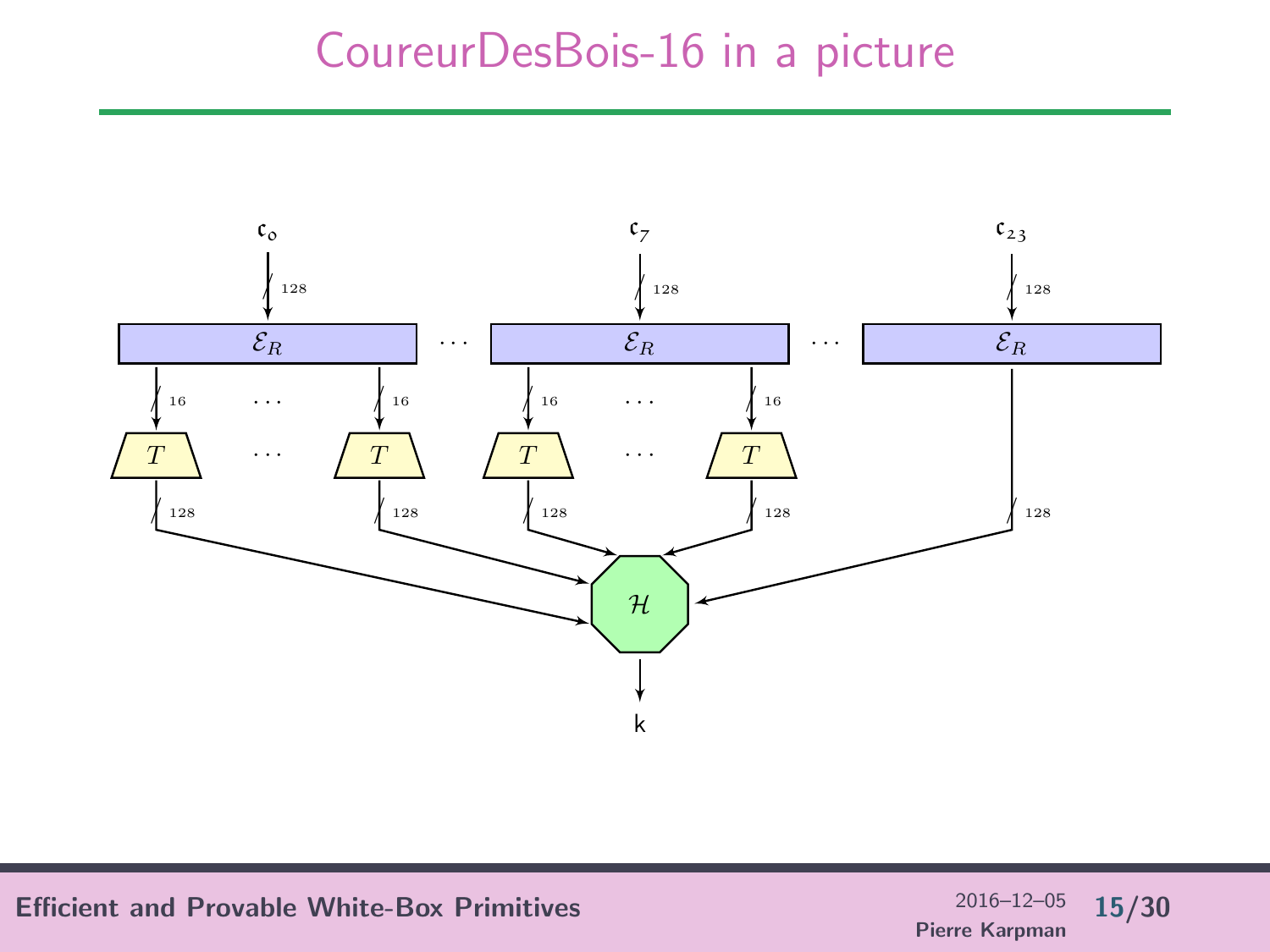### CoureurDesBois-16 in a picture



Efficient and Provable White-Box Primitives  $^{2016-12-05}$  15/30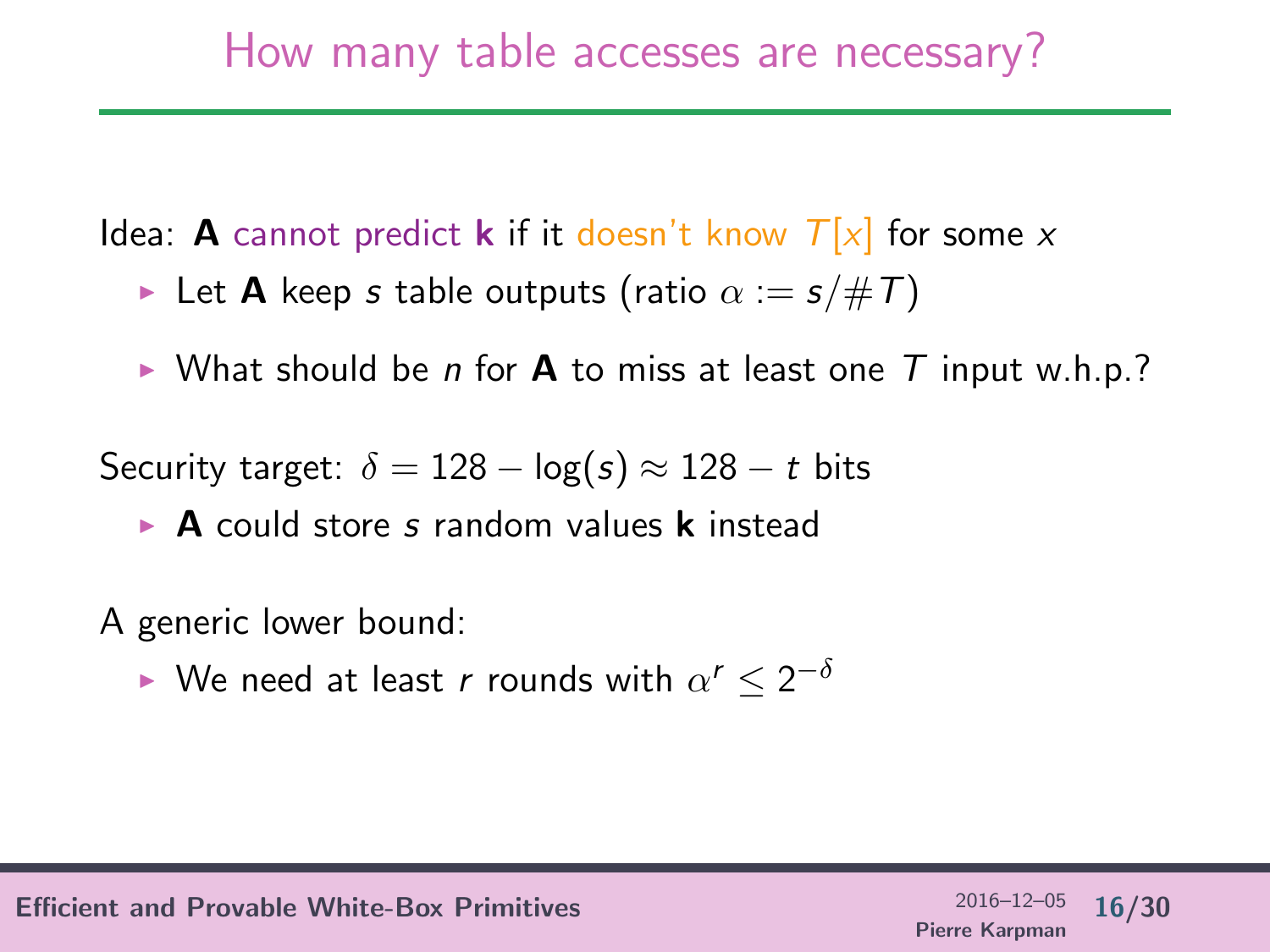Idea: **A** cannot predict **k** if it doesn't know  $T[x]$  for some x

- **In Let A** keep s table outputs (ratio  $\alpha := s/\#T$ )
- If What should be n for **A** to miss at least one T input w.h.p.?

Security target:  $\delta = 128 - \log(s) \approx 128 - t$  bits

 $\triangleright$  **A** could store s random values **k** instead

A generic lower bound:

► We need at least r rounds with  $\alpha^r \leq 2^{-\delta}$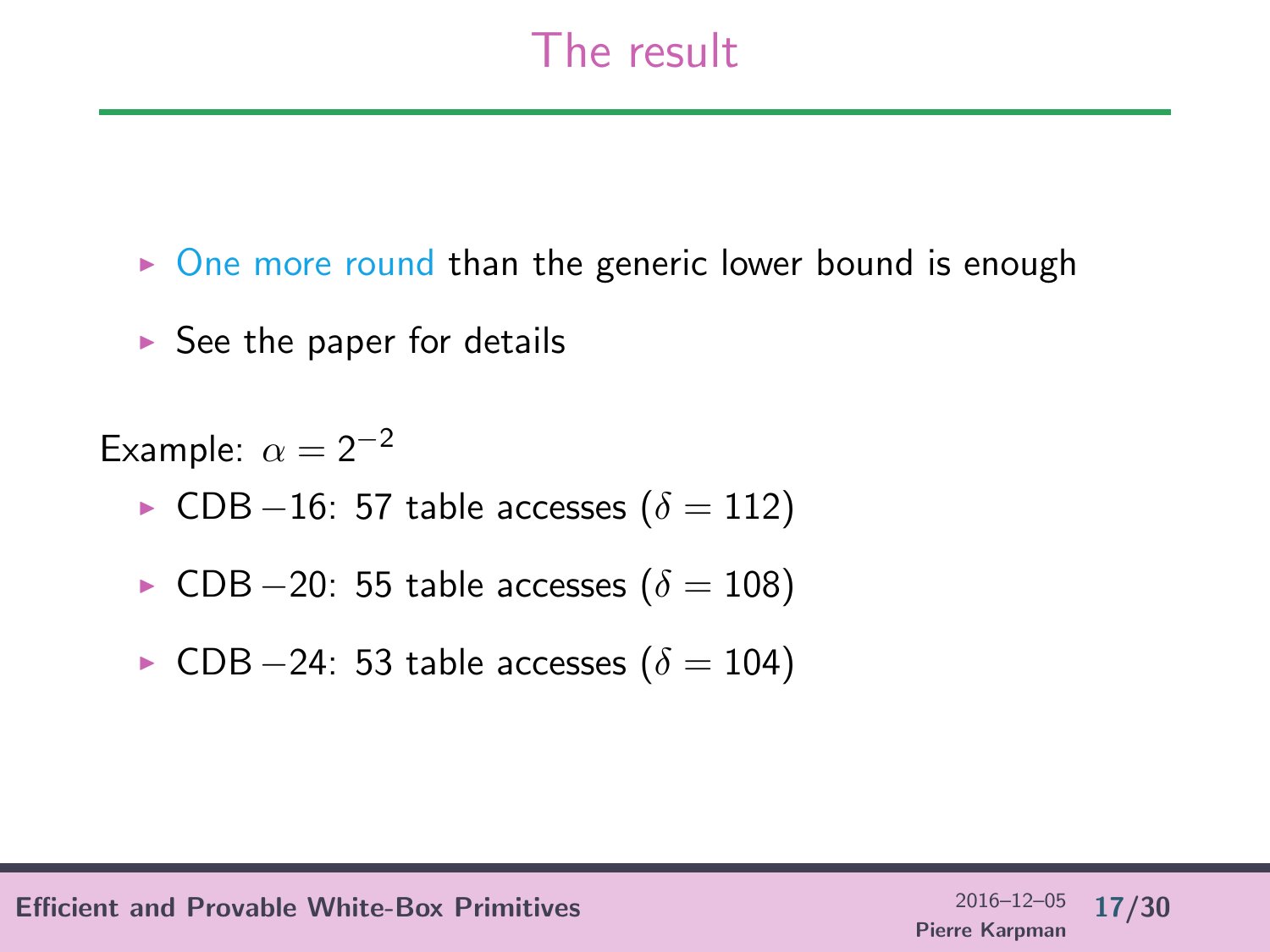## The result

- $\triangleright$  One more round than the generic lower bound is enough
- $\triangleright$  See the paper for details

Example:  $\alpha = 2^{-2}$ 

- $\triangleright$  CDB −16: 57 table accesses ( $\delta = 112$ )
- ► CDB  $-20$ : 55 table accesses  $(\delta = 108)$
- $\triangleright$  CDB −24: 53 table accesses ( $\delta = 104$ )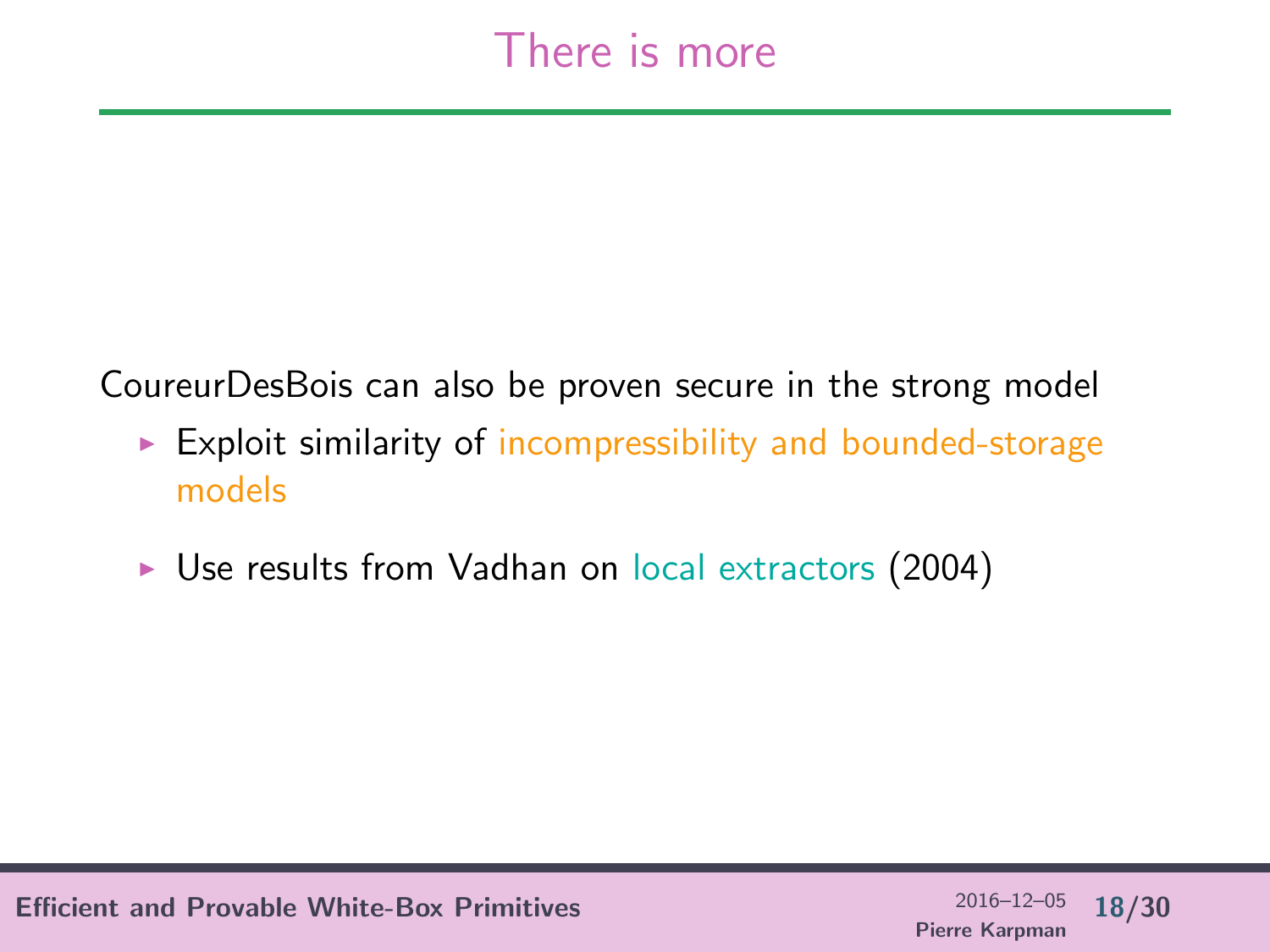## There is more

CoureurDesBois can also be proven secure in the strong model

- $\triangleright$  Exploit similarity of incompressibility and bounded-storage models
- ▶ Use results from Vadhan on local extractors (2004)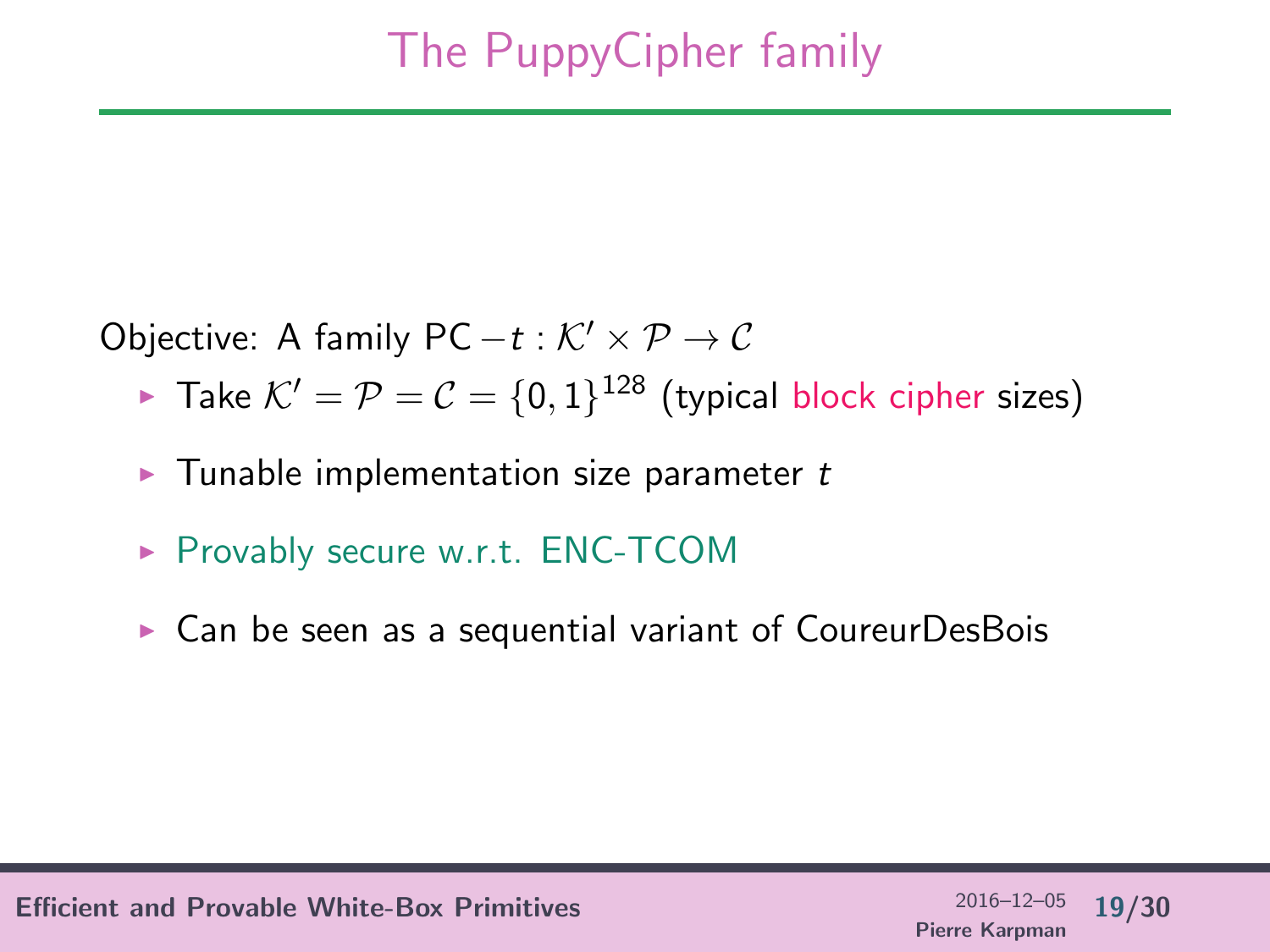Objective: A family PC  $-t : \mathcal{K}' \times \mathcal{P} \to \mathcal{C}$ 

- ► Take  $K' = P = C = \{0, 1\}^{128}$  (typical block cipher sizes)
- $\blacktriangleright$  Tunable implementation size parameter t
- $\triangleright$  Provably secure w.r.t. ENC-TCOM
- $\triangleright$  Can be seen as a sequential variant of CoureurDesBois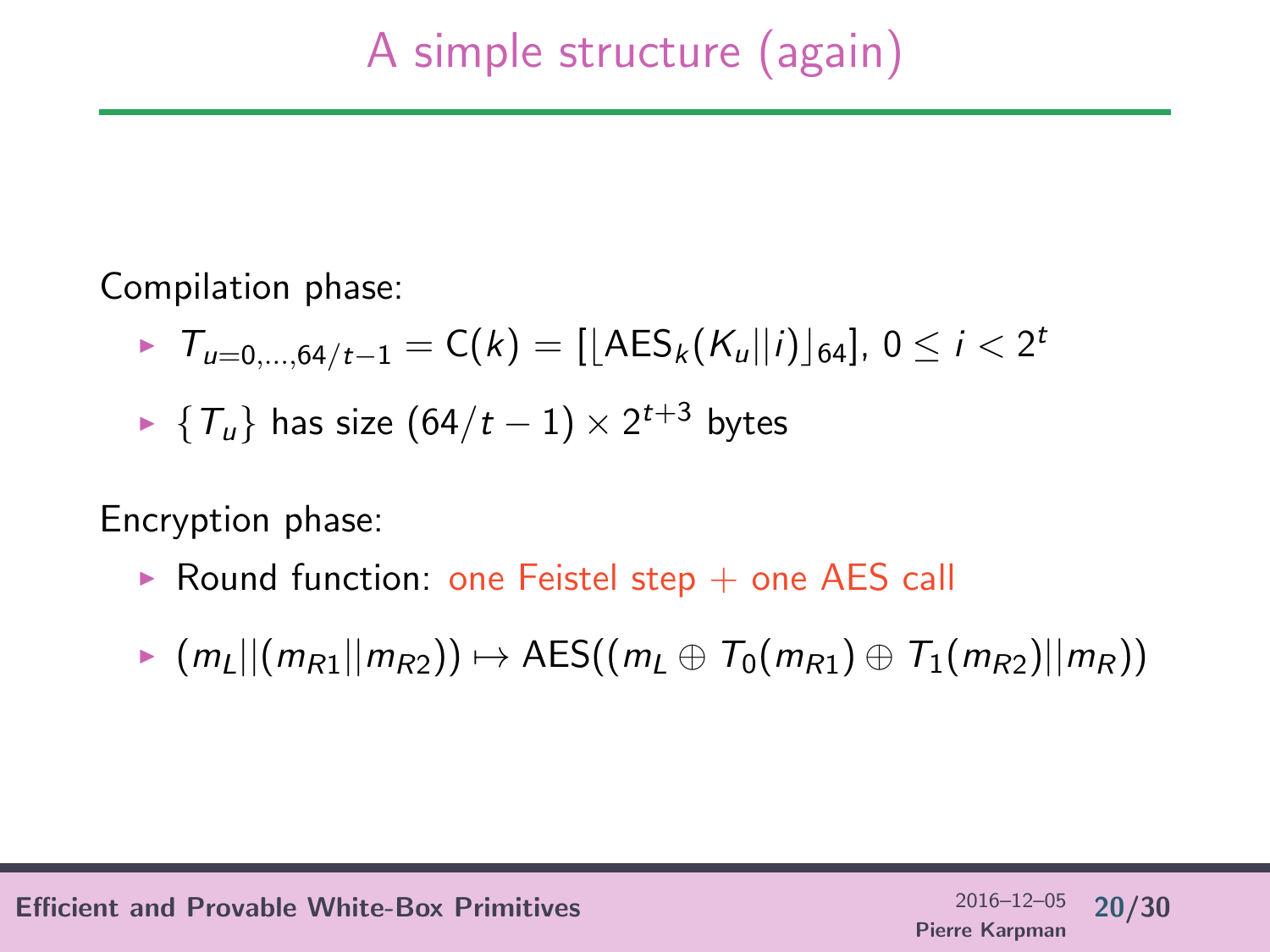Compilation phase:

- $I_{u=0,...,64/t-1} = C(k) = [[\text{AES}_{k}(K_{u}||i)]_{64}], 0 \leq i < 2^{t}$
- ►  $\{T_u\}$  has size  $(64/t-1) \times 2^{t+3}$  bytes

Encryption phase:

- $\triangleright$  Round function: one Feistel step  $+$  one AES call
- $\triangleright$  (m<sub>L</sub>||(m<sub>R1</sub>||m<sub>R2</sub>))  $\mapsto$  AES((m<sub>L</sub> ⊕ T<sub>0</sub>(m<sub>R1</sub>) ⊕ T<sub>1</sub>(m<sub>R2</sub>)||m<sub>R</sub>))

Efficient and Provable White-Box Primitives 2016–12–05 20/30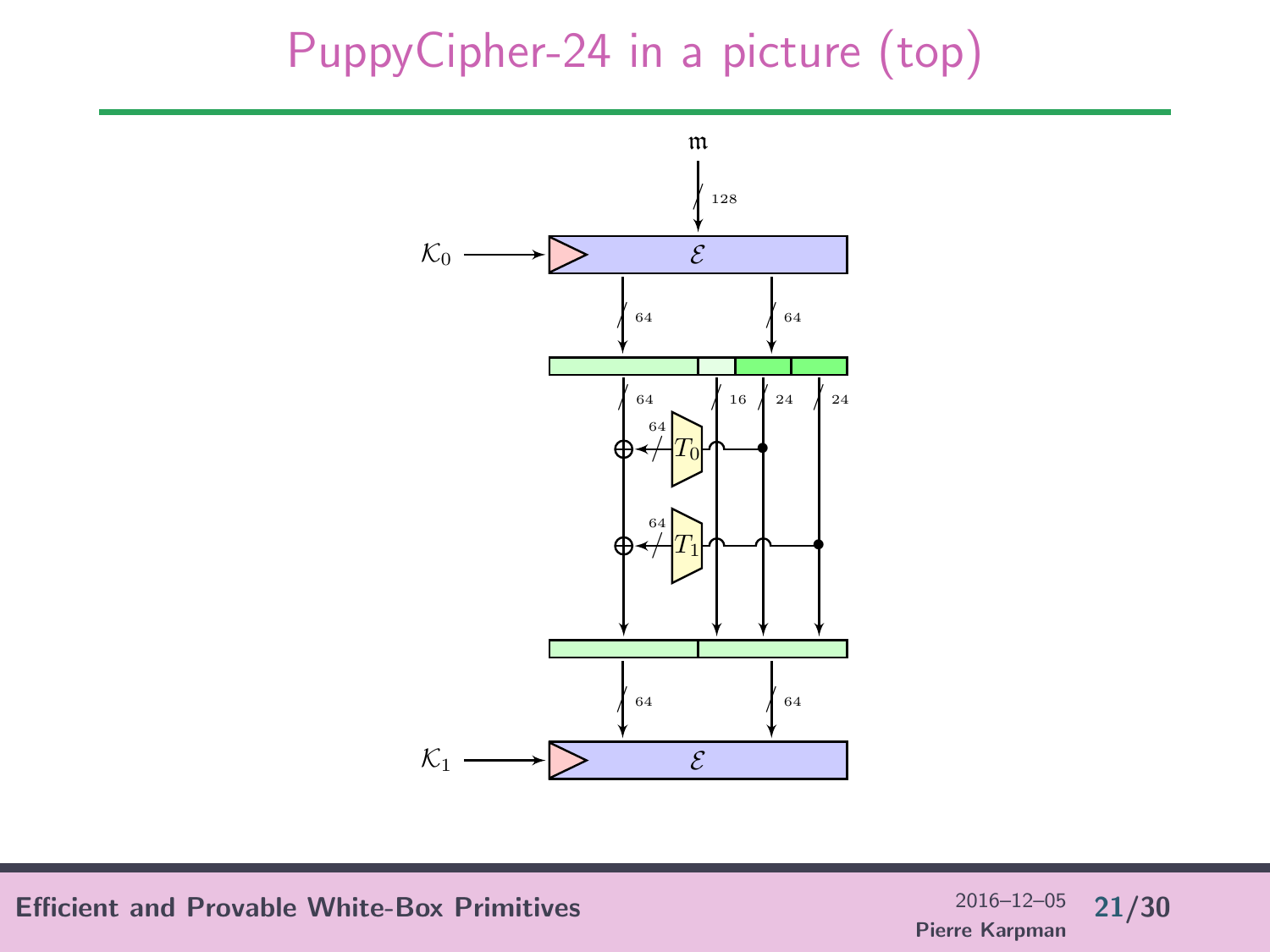## PuppyCipher-24 in a picture (top)



Efficient and Provable White-Box Primitives  $^{2016-12-05}$  21/30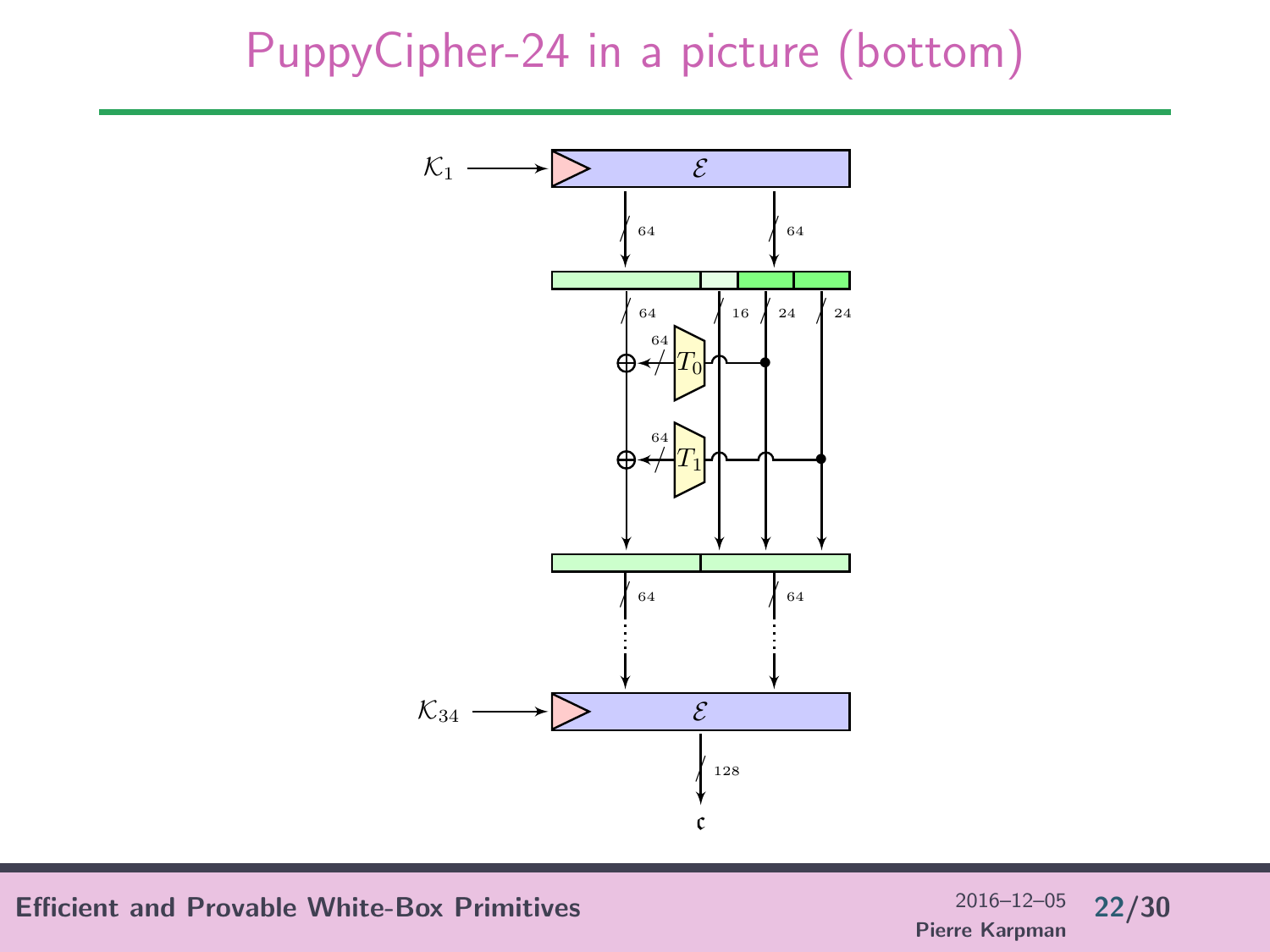## PuppyCipher-24 in a picture (bottom)



Efficient and Provable White-Box Primitives  $^{2016-12-05}$  22/30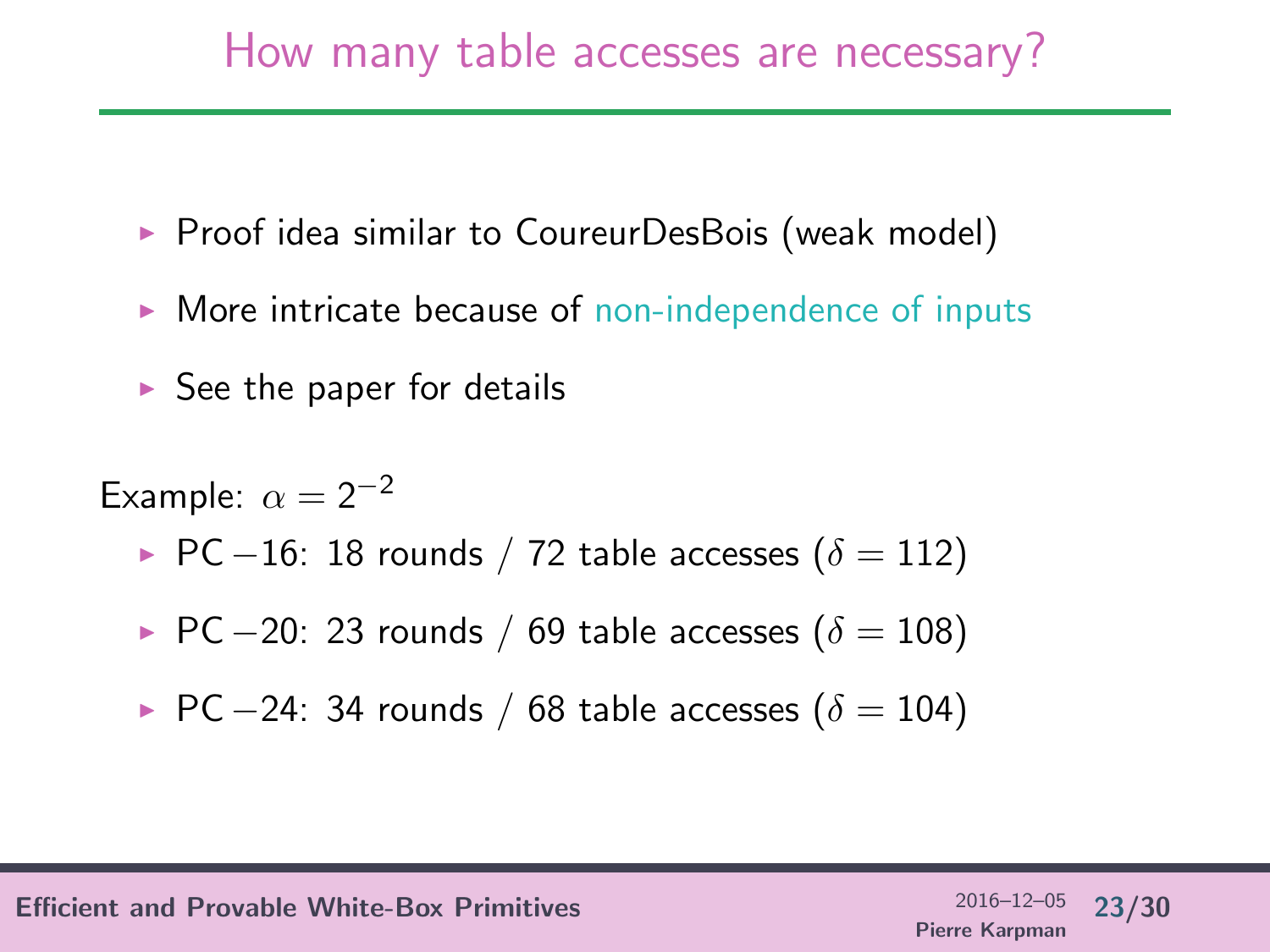## How many table accesses are necessary?

- $\triangleright$  Proof idea similar to CoureurDesBois (weak model)
- $\triangleright$  More intricate because of non-independence of inputs
- $\triangleright$  See the paper for details

Example:  $\alpha = 2^{-2}$ 

- ► PC –16: 18 rounds / 72 table accesses ( $\delta = 112$ )
- ► PC -20: 23 rounds / 69 table accesses ( $\delta = 108$ )

▶ PC –24: 34 rounds / 68 table accesses (
$$
\delta = 104
$$
)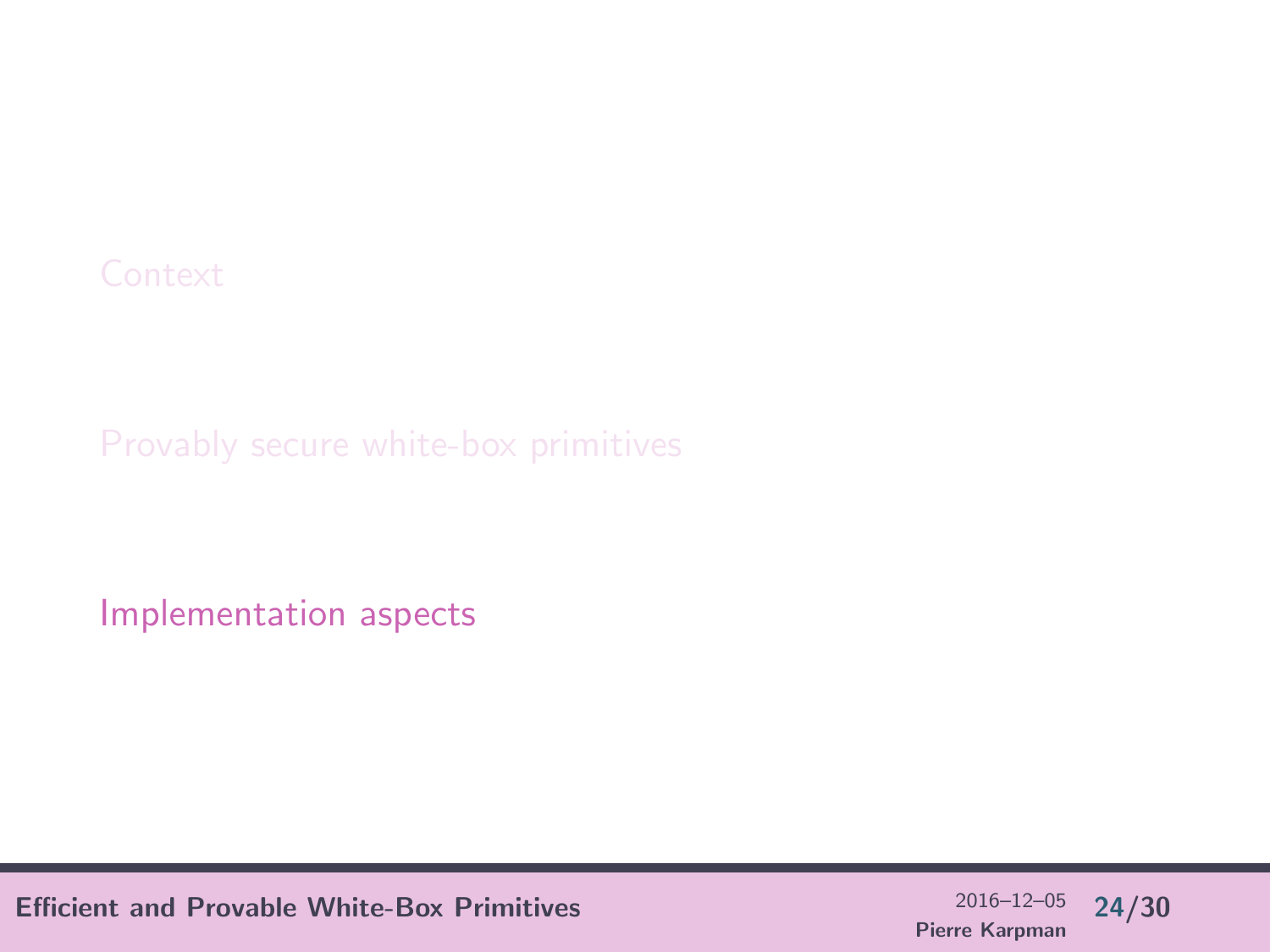<span id="page-23-0"></span>

[Implementation aspects](#page-23-0)

Efficient and Provable White-Box Primitives  $^{2016-12-05}$  24/30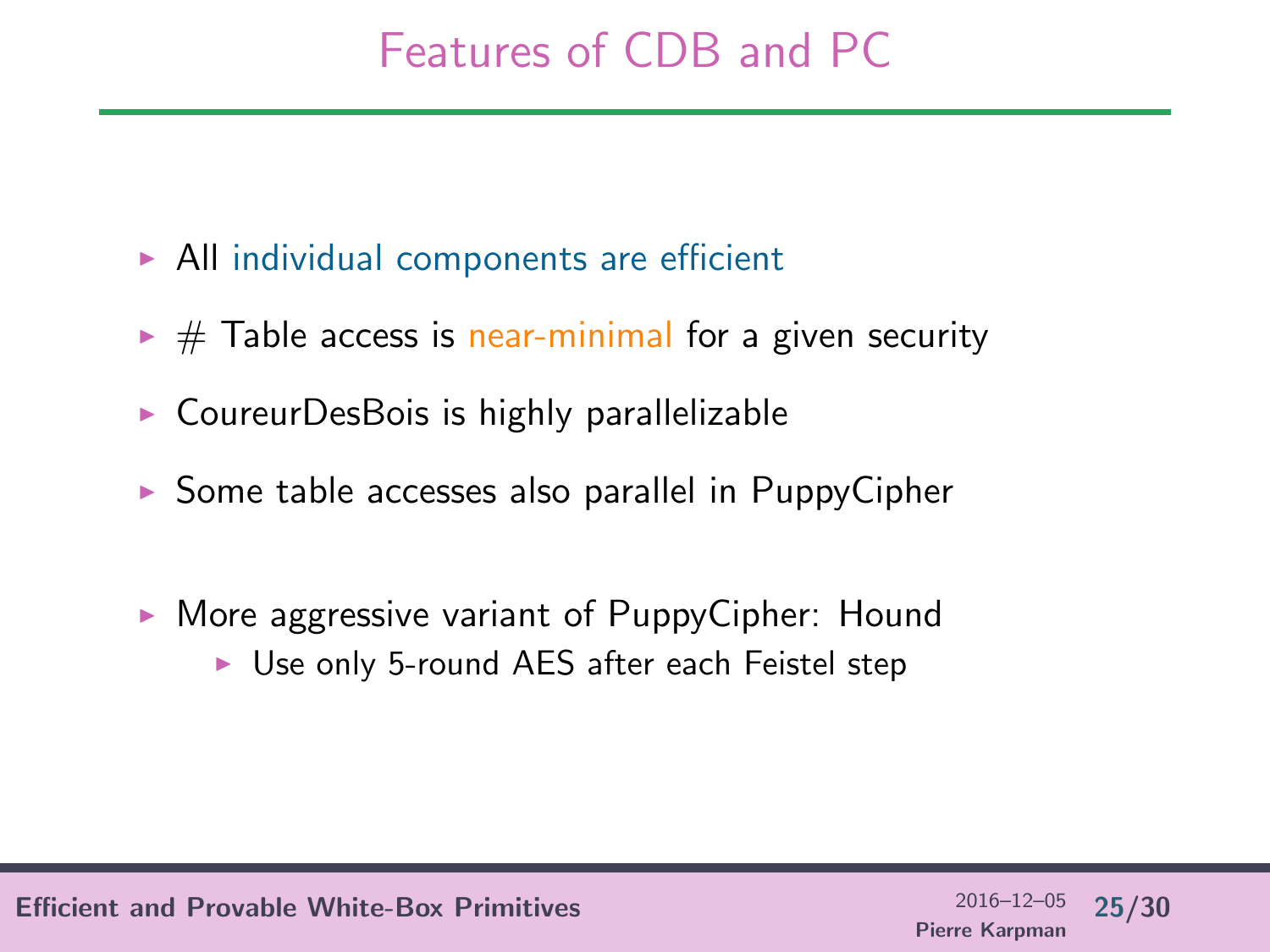# Features of CDB and PC

- $\triangleright$  All individual components are efficient
- $\triangleright \#$  Table access is near-minimal for a given security
- $\triangleright$  CoureurDesBois is highly parallelizable
- $\triangleright$  Some table accesses also parallel in PuppyCipher
- $\triangleright$  More aggressive variant of PuppyCipher: Hound
	- $\triangleright$  Use only 5-round AES after each Feistel step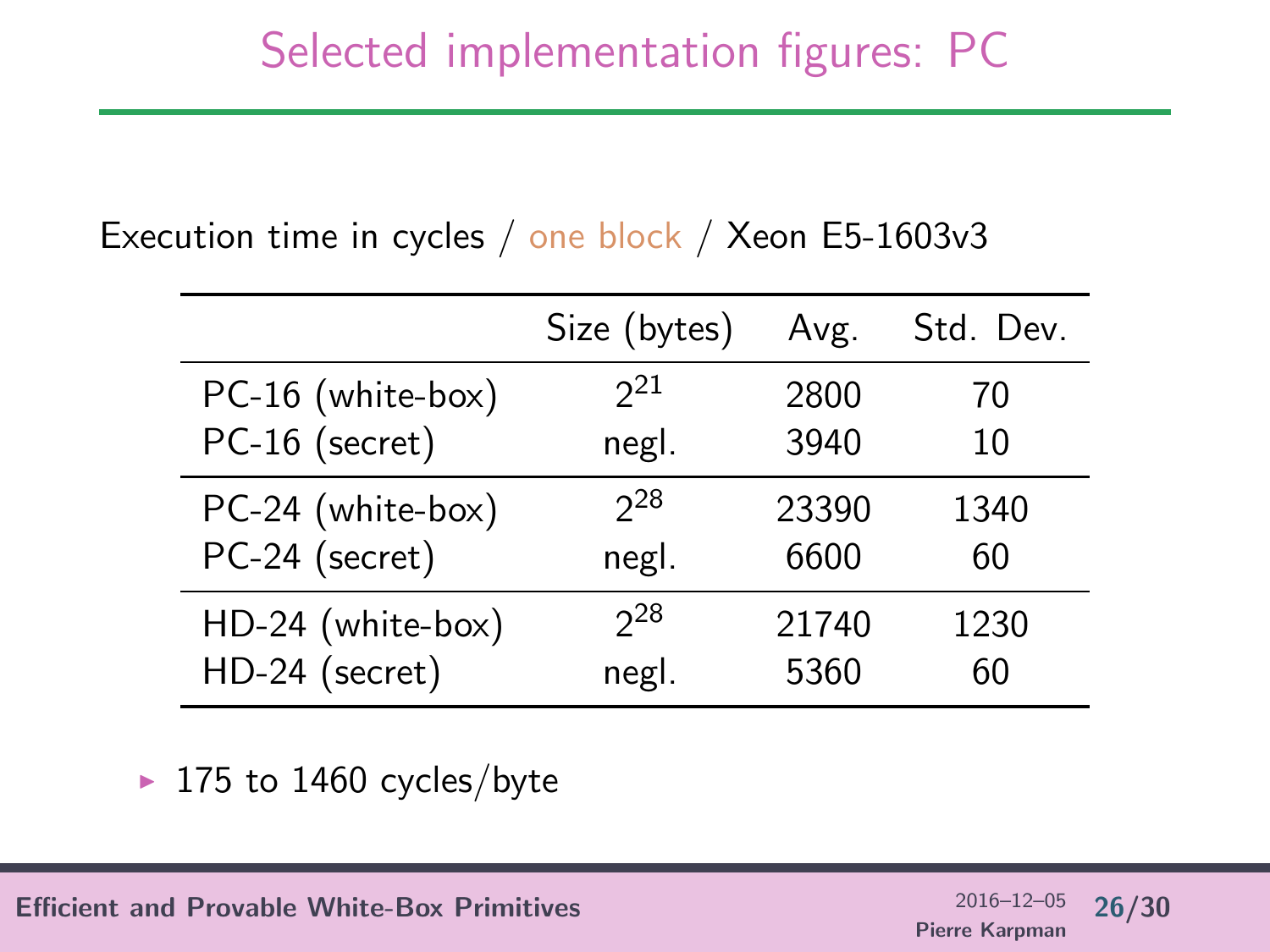#### Execution time in cycles / one block / Xeon E5-1603v3

|                   | Size (bytes) | Avg.  | Std. Dev. |
|-------------------|--------------|-------|-----------|
| PC-16 (white-box) | $2^{21}$     | 2800  | 70        |
| PC-16 (secret)    | negl.        | 3940  | 10        |
| PC-24 (white-box) | $2^{28}$     | 23390 | 1340      |
| PC-24 (secret)    | negl.        | 6600  | 60        |
| HD-24 (white-box) | $2^2$        | 21740 | 1230      |
| HD-24 (secret)    | negl.        | 5360  | 60        |

 $\blacktriangleright$  175 to 1460 cycles/byte

Efficient and Provable White-Box Primitives  $^{2016-12-05}$  26/30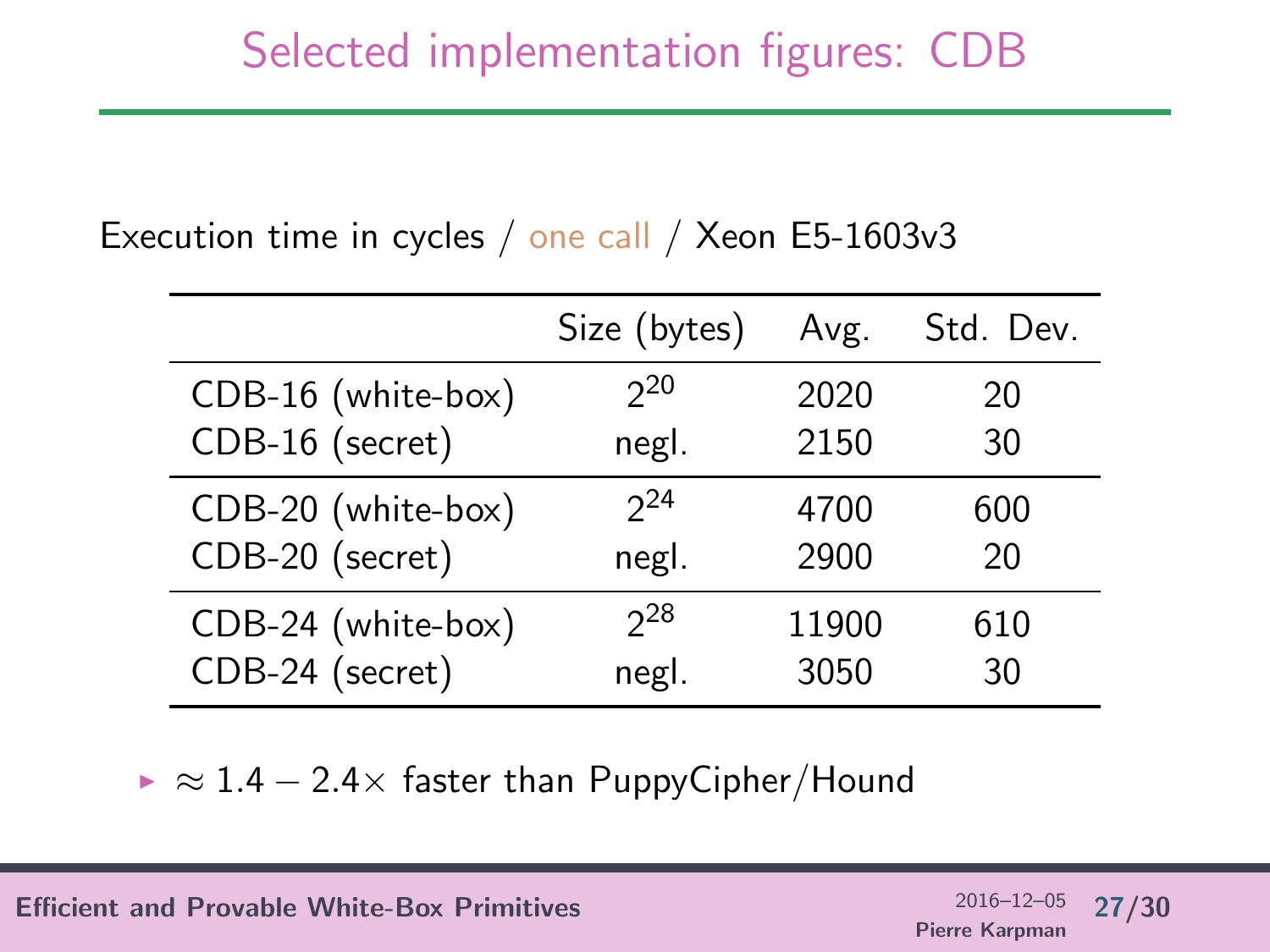#### Execution time in cycles / one call / Xeon E5-1603v3

|                                       | Size (bytes)      | Avg.          | Std. Dev. |
|---------------------------------------|-------------------|---------------|-----------|
| CDB-16 (white-box)<br>CDB-16 (secret) | $2^{20}$<br>negl. | 2020<br>2150  | 20<br>30  |
| CDB-20 (white-box)                    | $2^{24}$          | 4700          | 600       |
| CDB-20 (secret)                       | negl.             | 2900          | 20        |
| CDB-24 (white-box)<br>CDB-24 (secret) | $2^2$<br>negl.    | 11900<br>3050 | 610<br>30 |

 $\triangleright \approx 1.4 - 2.4 \times$  faster than PuppyCipher/Hound

Efficient and Provable White-Box Primitives  $2016-12-05$  27/30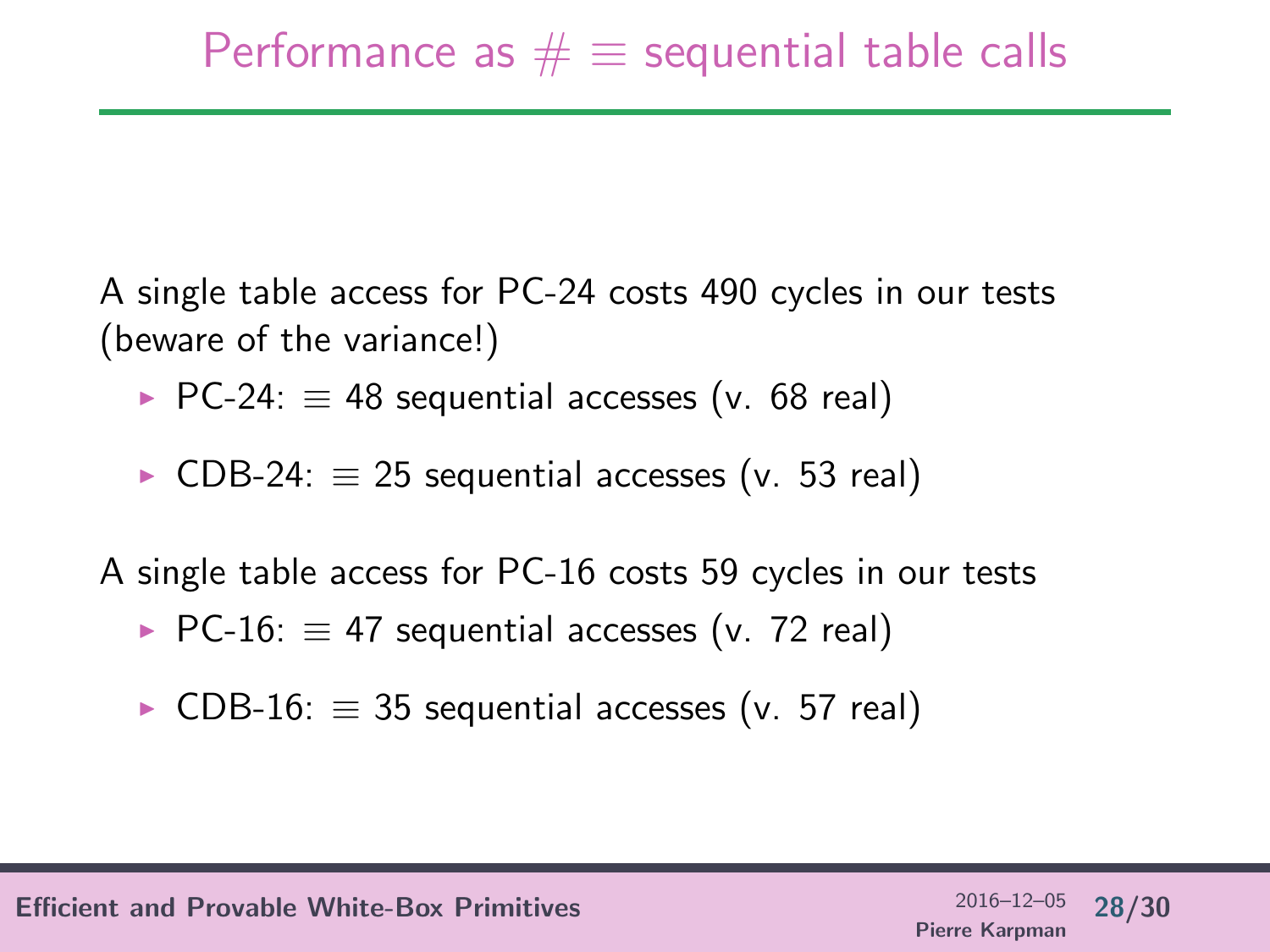A single table access for PC-24 costs 490 cycles in our tests (beware of the variance!)

- $\triangleright$  PC-24:  $\equiv$  48 sequential accesses (v. 68 real)
- $\triangleright$  CDB-24:  $\equiv$  25 sequential accesses (v. 53 real)

A single table access for PC-16 costs 59 cycles in our tests

- $\triangleright$  PC-16:  $\equiv$  47 sequential accesses (v. 72 real)
- $\triangleright$  CDB-16:  $\equiv$  35 sequential accesses (v. 57 real)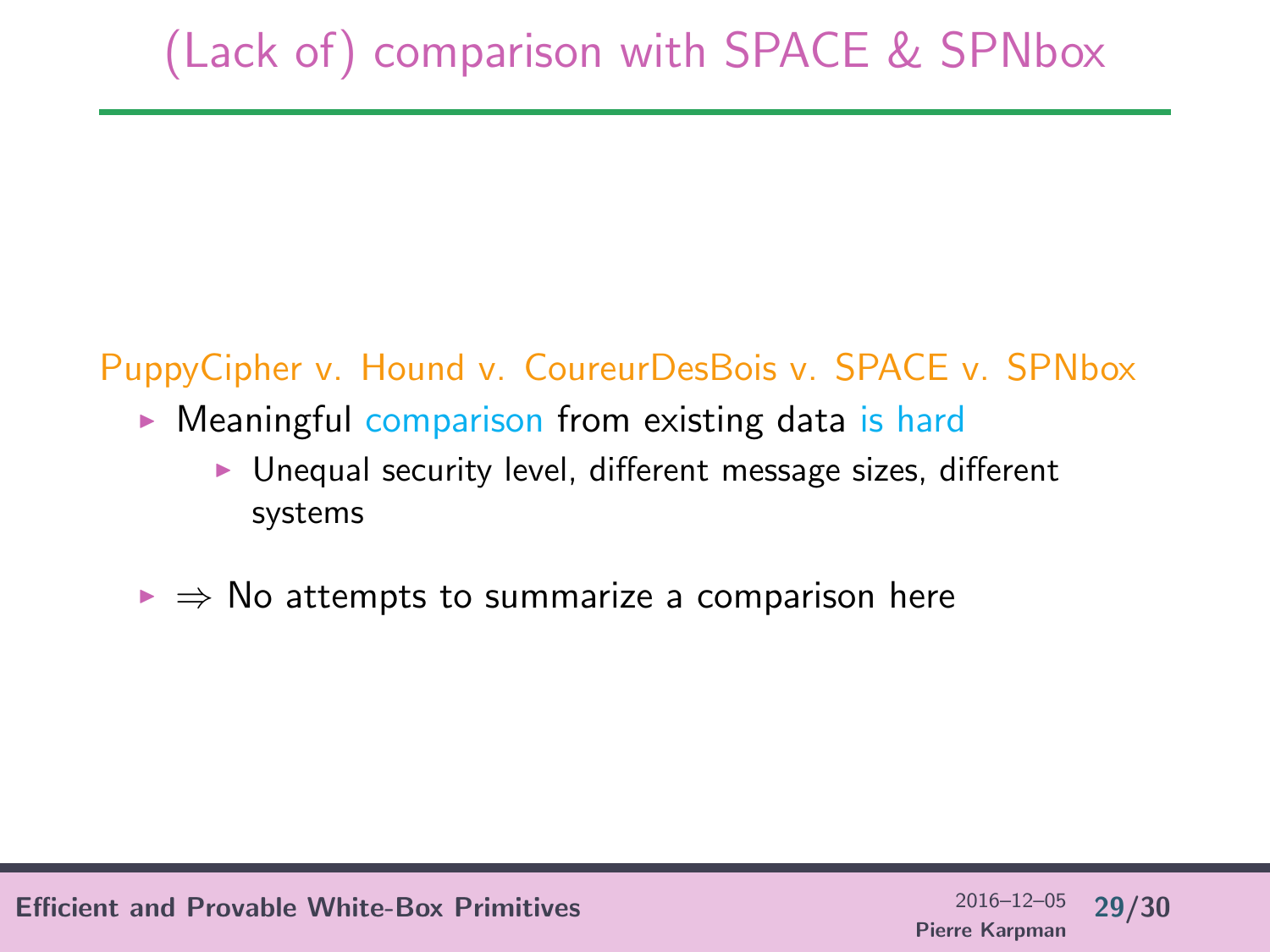# (Lack of) comparison with SPACE & SPNbox

#### PuppyCipher v. Hound v. CoureurDesBois v. SPACE v. SPNbox

- $\triangleright$  Meaningful comparison from existing data is hard
	- $\blacktriangleright$  Unequal security level, different message sizes, different systems
- $\triangleright \Rightarrow$  No attempts to summarize a comparison here